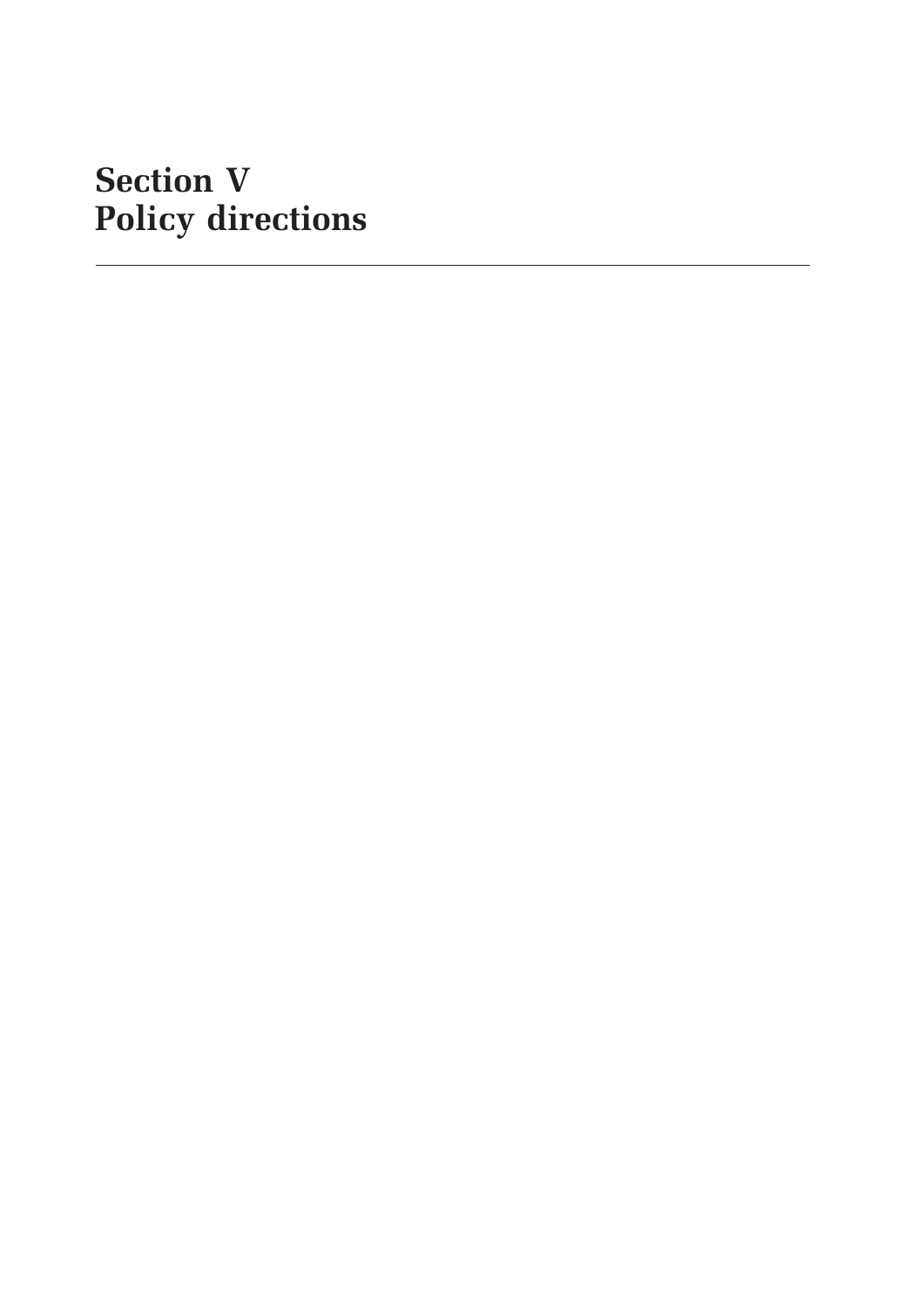# **Section V Policy directions**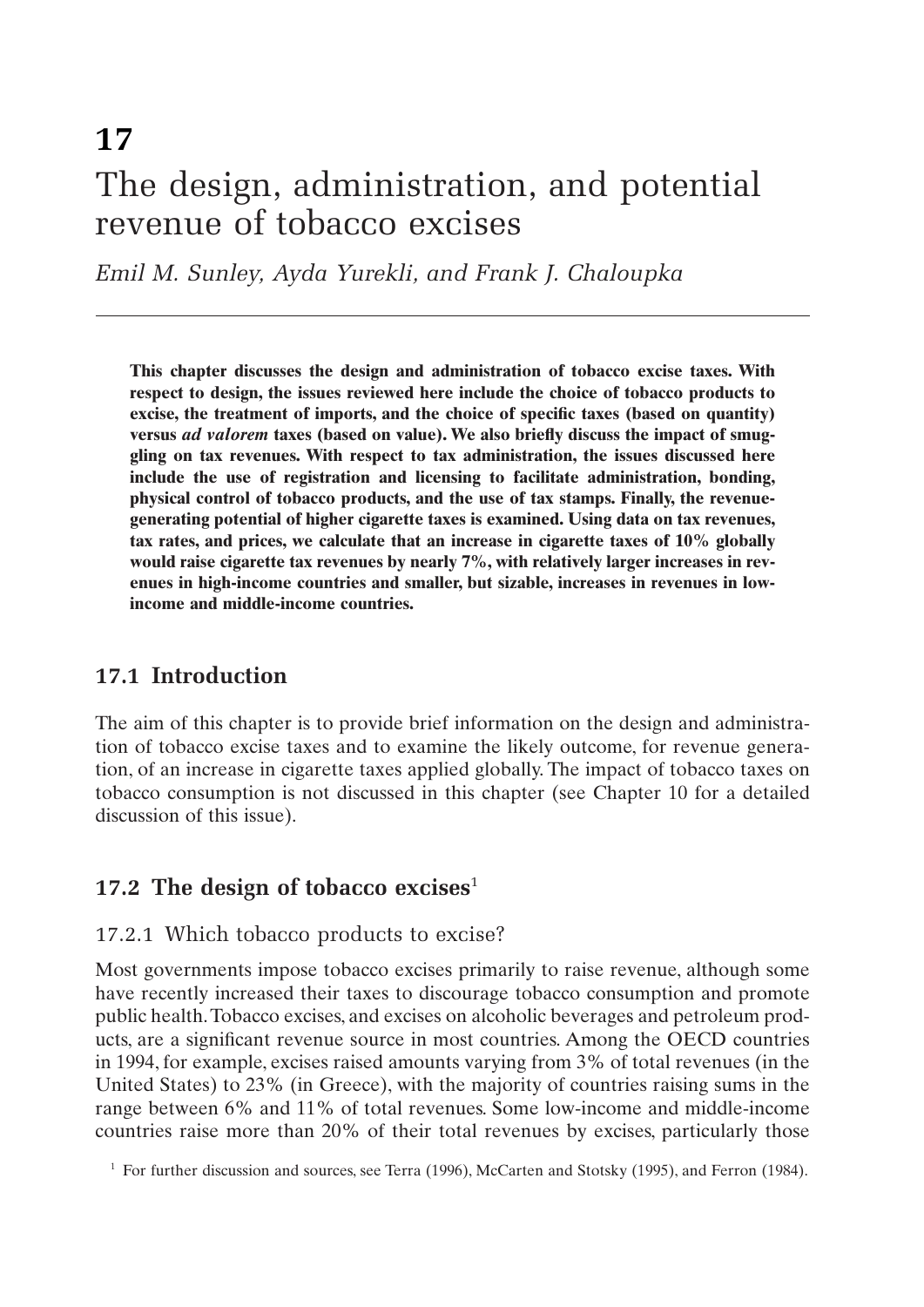# **17** The design, administration, and potential revenue of tobacco excises

*Emil M. Sunley, Ayda Yurekli, and Frank J. Chaloupka* 

**This chapter discusses the design and administration of tobacco excise taxes. With respect to design, the issues reviewed here include the choice of tobacco products to excise, the treatment of imports, and the choice of specific taxes (based on quantity) versus** *ad valorem* **taxes (based on value). We also briefly discuss the impact of smuggling on tax revenues. With respect to tax administration, the issues discussed here include the use of registration and licensing to facilitate administration, bonding, physical control of tobacco products, and the use of tax stamps. Finally, the revenuegenerating potential of higher cigarette taxes is examined. Using data on tax revenues, tax rates, and prices, we calculate that an increase in cigarette taxes of 10% globally would raise cigarette tax revenues by nearly 7%, with relatively larger increases in revenues in high-income countries and smaller, but sizable, increases in revenues in lowincome and middle-income countries.**

# **17.1 Introduction**

The aim of this chapter is to provide brief information on the design and administration of tobacco excise taxes and to examine the likely outcome, for revenue generation, of an increase in cigarette taxes applied globally. The impact of tobacco taxes on tobacco consumption is not discussed in this chapter (see Chapter 10 for a detailed discussion of this issue).

# **17.2 The design of tobacco excises**<sup>1</sup>

17.2.1 Which tobacco products to excise?

Most governments impose tobacco excises primarily to raise revenue, although some have recently increased their taxes to discourage tobacco consumption and promote public health.Tobacco excises, and excises on alcoholic beverages and petroleum products, are a significant revenue source in most countries. Among the OECD countries in 1994, for example, excises raised amounts varying from 3% of total revenues (in the United States) to 23% (in Greece), with the majority of countries raising sums in the range between 6% and 11% of total revenues. Some low-income and middle-income countries raise more than 20% of their total revenues by excises, particularly those

<sup>&</sup>lt;sup>1</sup> For further discussion and sources, see Terra (1996), McCarten and Stotsky (1995), and Ferron (1984).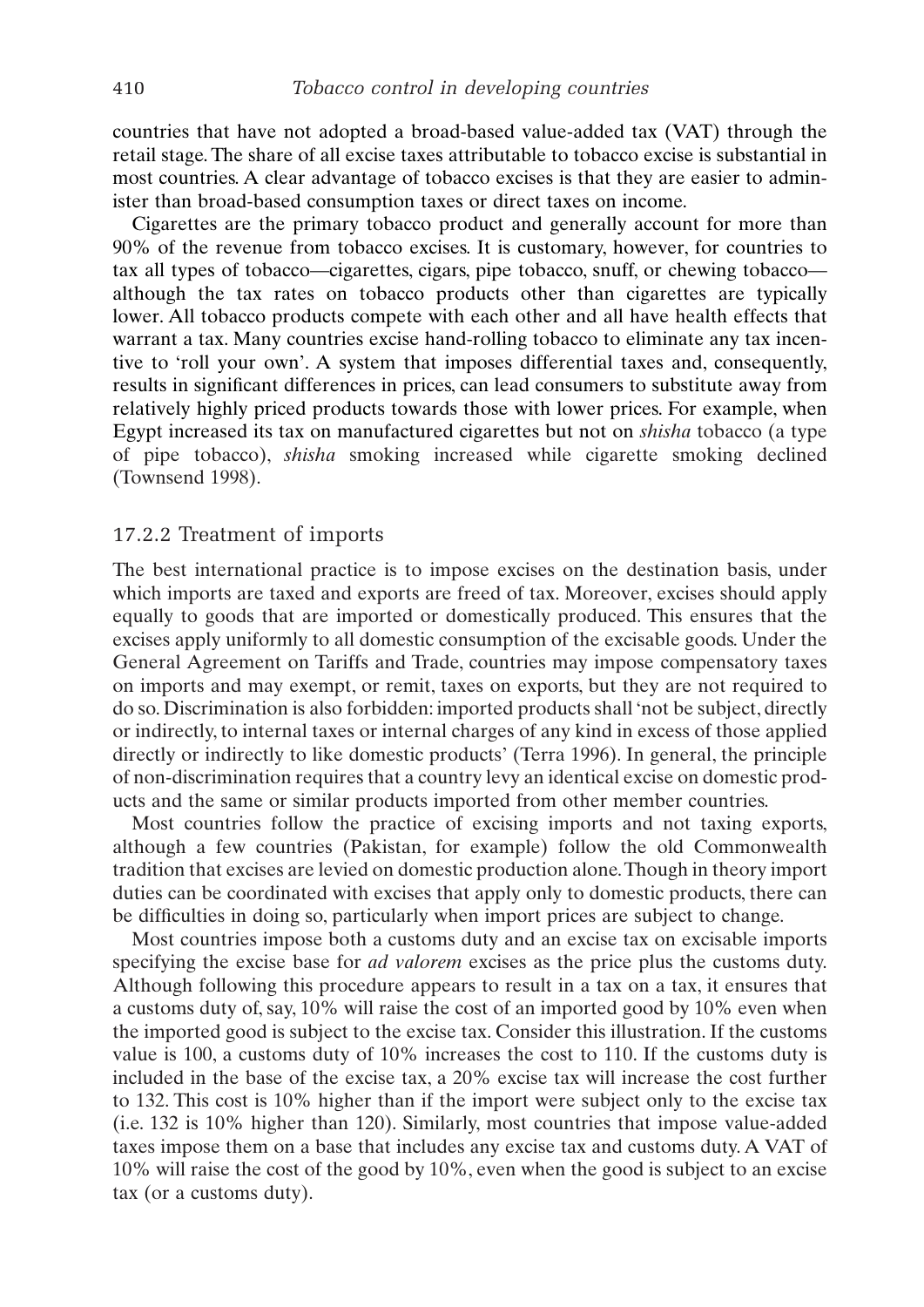countries that have not adopted a broad-based value-added tax (VAT) through the retail stage. The share of all excise taxes attributable to tobacco excise is substantial in most countries. A clear advantage of tobacco excises is that they are easier to administer than broad-based consumption taxes or direct taxes on income.

Cigarettes are the primary tobacco product and generally account for more than 90% of the revenue from tobacco excises. It is customary, however, for countries to tax all types of tobacco—cigarettes, cigars, pipe tobacco, snuff, or chewing tobacco although the tax rates on tobacco products other than cigarettes are typically lower. All tobacco products compete with each other and all have health effects that warrant a tax. Many countries excise hand-rolling tobacco to eliminate any tax incentive to 'roll your own'. A system that imposes differential taxes and, consequently, results in significant differences in prices, can lead consumers to substitute away from relatively highly priced products towards those with lower prices. For example, when Egypt increased its tax on manufactured cigarettes but not on *shisha* tobacco (a type of pipe tobacco), *shisha* smoking increased while cigarette smoking declined (Townsend 1998).

#### 17.2.2 Treatment of imports

The best international practice is to impose excises on the destination basis, under which imports are taxed and exports are freed of tax. Moreover, excises should apply equally to goods that are imported or domestically produced. This ensures that the excises apply uniformly to all domestic consumption of the excisable goods. Under the General Agreement on Tariffs and Trade, countries may impose compensatory taxes on imports and may exempt, or remit, taxes on exports, but they are not required to do so. Discrimination is also forbidden: imported products shall 'not be subject, directly or indirectly, to internal taxes or internal charges of any kind in excess of those applied directly or indirectly to like domestic products' (Terra 1996). In general, the principle of non-discrimination requires that a country levy an identical excise on domestic products and the same or similar products imported from other member countries.

Most countries follow the practice of excising imports and not taxing exports, although a few countries (Pakistan, for example) follow the old Commonwealth tradition that excises are levied on domestic production alone.Though in theory import duties can be coordinated with excises that apply only to domestic products, there can be difficulties in doing so, particularly when import prices are subject to change.

Most countries impose both a customs duty and an excise tax on excisable imports specifying the excise base for *ad valorem* excises as the price plus the customs duty. Although following this procedure appears to result in a tax on a tax, it ensures that a customs duty of, say, 10% will raise the cost of an imported good by 10% even when the imported good is subject to the excise tax. Consider this illustration. If the customs value is 100, a customs duty of 10% increases the cost to 110. If the customs duty is included in the base of the excise tax, a 20% excise tax will increase the cost further to 132. This cost is 10% higher than if the import were subject only to the excise tax (i.e. 132 is 10% higher than 120). Similarly, most countries that impose value-added taxes impose them on a base that includes any excise tax and customs duty. A VAT of 10% will raise the cost of the good by 10%, even when the good is subject to an excise tax (or a customs duty).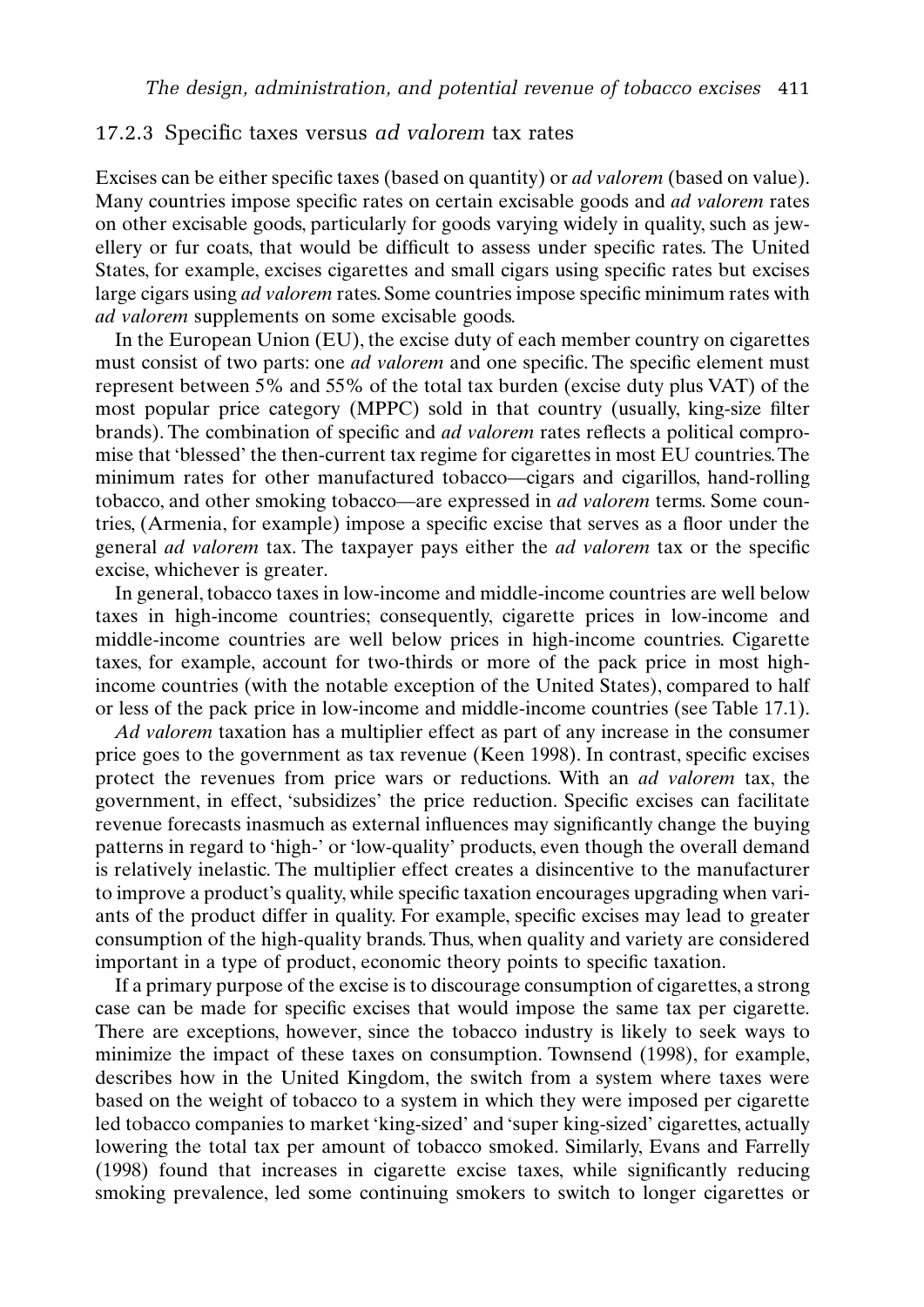#### 17.2.3 Specific taxes versus *ad valorem* tax rates

Excises can be either specific taxes (based on quantity) or *ad valorem* (based on value). Many countries impose specific rates on certain excisable goods and *ad valorem* rates on other excisable goods, particularly for goods varying widely in quality, such as jewellery or fur coats, that would be difficult to assess under specific rates. The United States, for example, excises cigarettes and small cigars using specific rates but excises large cigars using *ad valorem* rates. Some countries impose specific minimum rates with *ad valorem* supplements on some excisable goods.

In the European Union (EU), the excise duty of each member country on cigarettes must consist of two parts: one *ad valorem* and one specific. The specific element must represent between 5% and 55% of the total tax burden (excise duty plus VAT) of the most popular price category (MPPC) sold in that country (usually, king-size filter brands). The combination of specific and *ad valorem* rates reflects a political compromise that 'blessed' the then-current tax regime for cigarettes in most EU countries.The minimum rates for other manufactured tobacco—cigars and cigarillos, hand-rolling tobacco, and other smoking tobacco—are expressed in *ad valorem* terms. Some countries, (Armenia, for example) impose a specific excise that serves as a floor under the general *ad valorem* tax. The taxpayer pays either the *ad valorem* tax or the specific excise, whichever is greater.

In general, tobacco taxes in low-income and middle-income countries are well below taxes in high-income countries; consequently, cigarette prices in low-income and middle-income countries are well below prices in high-income countries. Cigarette taxes, for example, account for two-thirds or more of the pack price in most highincome countries (with the notable exception of the United States), compared to half or less of the pack price in low-income and middle-income countries (see Table 17.1).

*Ad valorem* taxation has a multiplier effect as part of any increase in the consumer price goes to the government as tax revenue (Keen 1998). In contrast, specific excises protect the revenues from price wars or reductions. With an *ad valorem* tax, the government, in effect, 'subsidizes' the price reduction. Specific excises can facilitate revenue forecasts inasmuch as external influences may significantly change the buying patterns in regard to 'high-' or 'low-quality' products, even though the overall demand is relatively inelastic. The multiplier effect creates a disincentive to the manufacturer to improve a product's quality, while specific taxation encourages upgrading when variants of the product differ in quality. For example, specific excises may lead to greater consumption of the high-quality brands. Thus, when quality and variety are considered important in a type of product, economic theory points to specific taxation.

If a primary purpose of the excise is to discourage consumption of cigarettes, a strong case can be made for specific excises that would impose the same tax per cigarette. There are exceptions, however, since the tobacco industry is likely to seek ways to minimize the impact of these taxes on consumption. Townsend (1998), for example, describes how in the United Kingdom, the switch from a system where taxes were based on the weight of tobacco to a system in which they were imposed per cigarette led tobacco companies to market 'king-sized' and 'super king-sized' cigarettes, actually lowering the total tax per amount of tobacco smoked. Similarly, Evans and Farrelly (1998) found that increases in cigarette excise taxes, while significantly reducing smoking prevalence, led some continuing smokers to switch to longer cigarettes or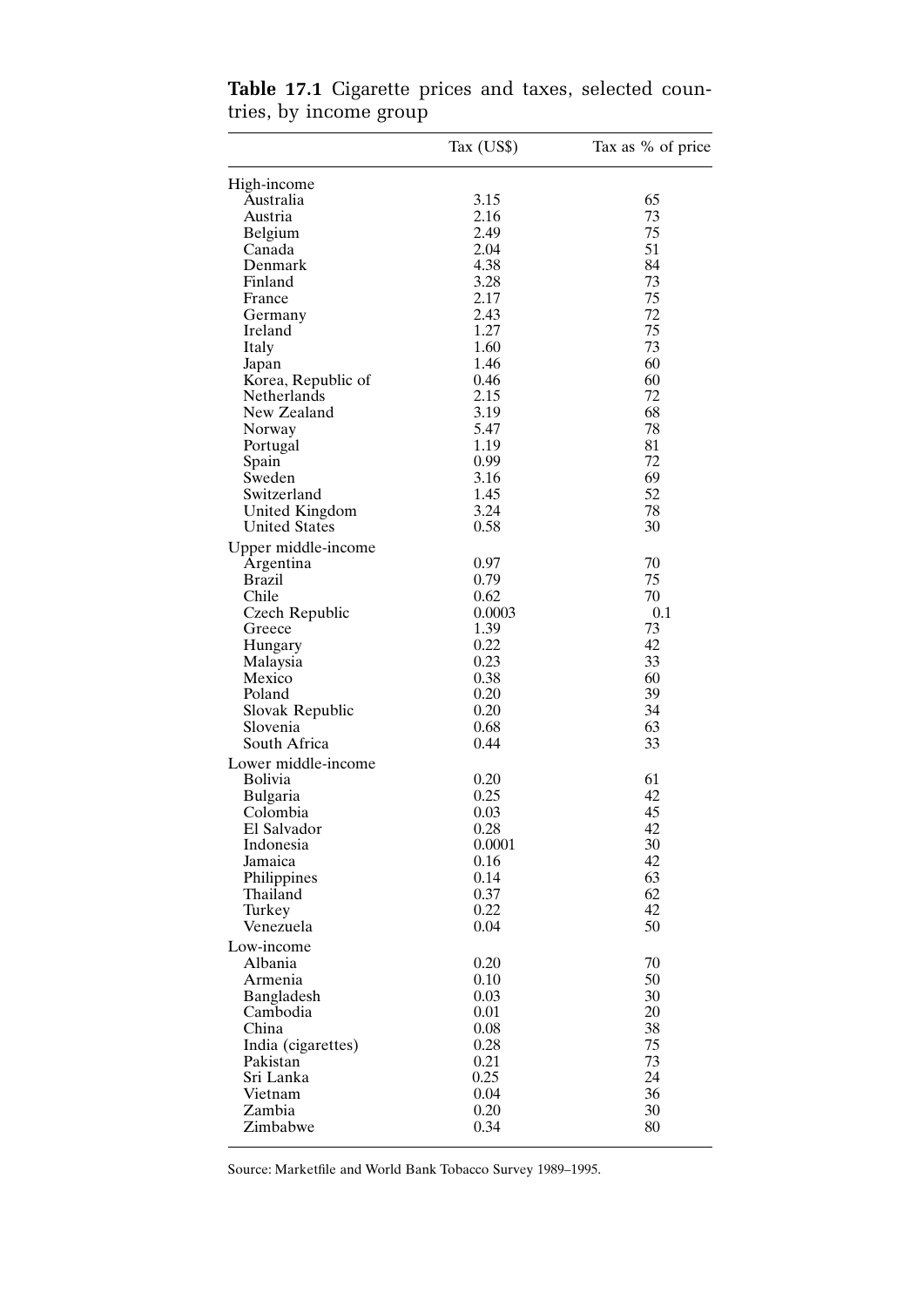|                                   | Tax (US\$)   | Tax as % of price |
|-----------------------------------|--------------|-------------------|
| High-income                       |              |                   |
| Australia                         | 3.15         | 65                |
| Austria                           | 2.16         | 73                |
| Belgium                           | 2.49         | 75                |
| Canada                            | 2.04         | 51                |
| Denmark                           | 4.38         | 84                |
| Finland                           | 3.28         | 73                |
| France                            | 2.17         | 75                |
| Germany                           | 2.43         | 72                |
| Ireland                           | 1.27         | 75                |
| Italy                             | 1.60         | 73<br>60          |
| Japan                             | 1.46         | 60                |
| Korea, Republic of<br>Netherlands | 0.46<br>2.15 | 72                |
| New Zealand                       | 3.19         | 68                |
| Norway                            | 5.47         | 78                |
| Portugal                          | 1.19         | 81                |
| Spain                             | 0.99         | 72                |
| Sweden                            | 3.16         | 69                |
| Switzerland                       | 1.45         | 52                |
| United Kingdom                    | 3.24         | 78                |
| <b>United States</b>              | 0.58         | 30                |
| Upper middle-income               |              |                   |
| Argentina                         | 0.97         | 70                |
| <b>Brazil</b>                     | 0.79         | 75                |
| Chile                             | 0.62         | 70                |
| Czech Republic                    | 0.0003       | 0.1               |
| Greece                            | 1.39         | 73                |
| Hungary                           | 0.22         | 42                |
| Malaysia                          | 0.23         | 33                |
| Mexico                            | 0.38         | 60                |
| Poland                            | 0.20         | 39                |
| Slovak Republic                   | 0.20         | 34                |
| Slovenia                          | 0.68         | 63                |
| South Africa                      | 0.44         | 33                |
| Lower middle-income               |              |                   |
| <b>Bolivia</b>                    | 0.20         | 61                |
| <b>Bulgaria</b>                   | 0.25         | 42                |
| Colombia                          | 0.03         | 45                |
| El Salvador                       | 0.28         | 42                |
| Indonesia                         | 0.0001       | 30                |
| Jamaica                           | 0.16         | 42                |
| Philippines                       | 0.14         | 63                |
| Thailand                          | 0.37         | 62                |
| Turkey                            | 0.22         | 42                |
| Venezuela                         | 0.04         | 50                |
| Low-income                        |              |                   |
| Albania                           | 0.20         | 70                |
| Armenia                           | 0.10         | 50                |
| Bangladesh                        | 0.03         | 30                |
| Cambodia                          | 0.01         | 20                |
| China                             | 0.08         | 38                |
| India (cigarettes)                | 0.28         | 75                |
| Pakistan                          | 0.21         | 73                |
| Sri Lanka                         | 0.25         | 24                |
| Vietnam                           | 0.04         | 36                |
| Zambia                            | 0.20         | 30<br>80          |
| Zimbabwe                          | 0.34         |                   |

**Table 17.1** Cigarette prices and taxes, selected countries, by income group

Source: Marketfile and World Bank Tobacco Survey 1989–1995.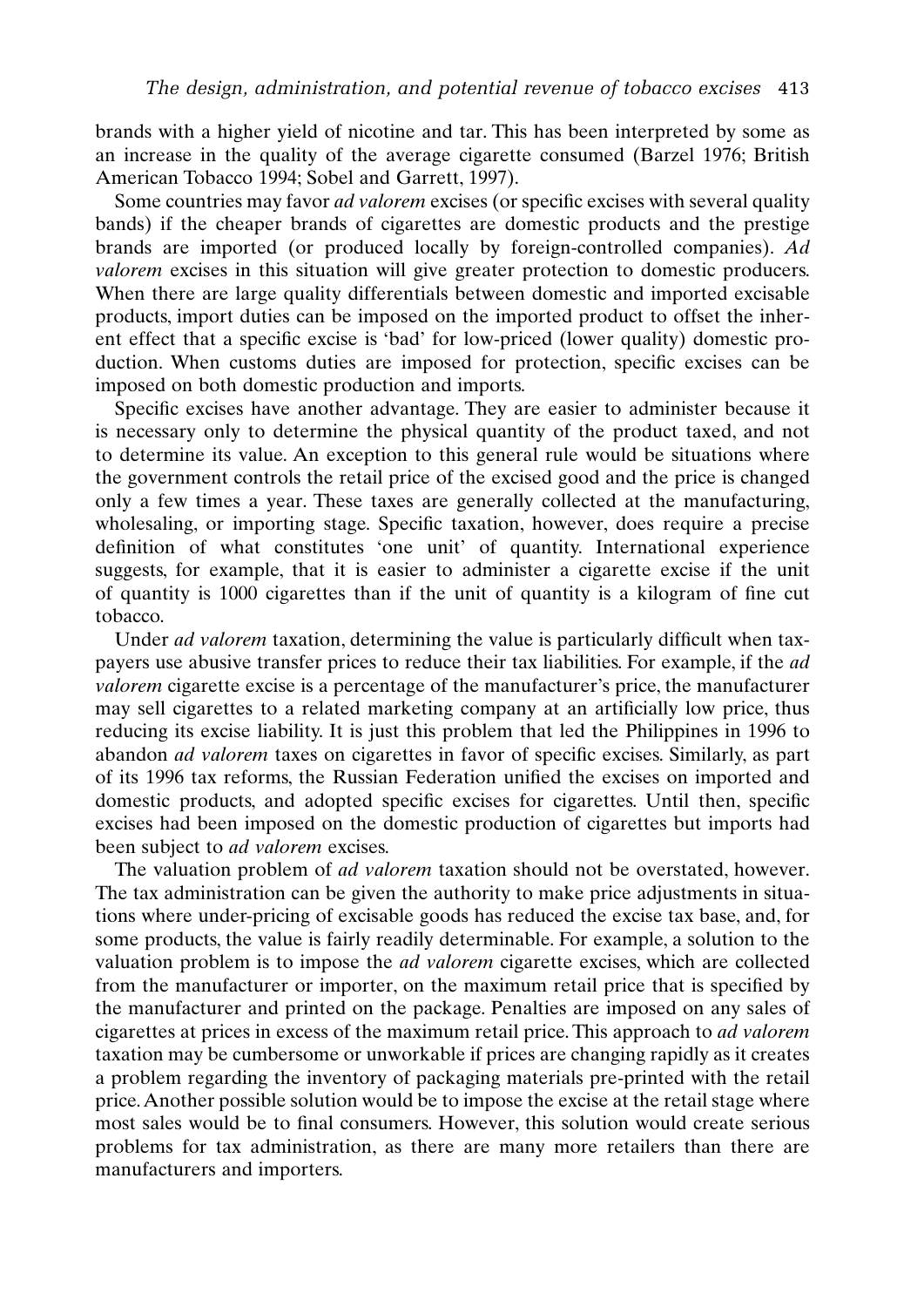brands with a higher yield of nicotine and tar. This has been interpreted by some as an increase in the quality of the average cigarette consumed (Barzel 1976; British American Tobacco 1994; Sobel and Garrett, 1997).

Some countries may favor *ad valorem* excises (or specific excises with several quality bands) if the cheaper brands of cigarettes are domestic products and the prestige brands are imported (or produced locally by foreign-controlled companies). *Ad valorem* excises in this situation will give greater protection to domestic producers. When there are large quality differentials between domestic and imported excisable products, import duties can be imposed on the imported product to offset the inherent effect that a specific excise is 'bad' for low-priced (lower quality) domestic production. When customs duties are imposed for protection, specific excises can be imposed on both domestic production and imports.

Specific excises have another advantage. They are easier to administer because it is necessary only to determine the physical quantity of the product taxed, and not to determine its value. An exception to this general rule would be situations where the government controls the retail price of the excised good and the price is changed only a few times a year. These taxes are generally collected at the manufacturing, wholesaling, or importing stage. Specific taxation, however, does require a precise definition of what constitutes 'one unit' of quantity. International experience suggests, for example, that it is easier to administer a cigarette excise if the unit of quantity is 1000 cigarettes than if the unit of quantity is a kilogram of fine cut tobacco.

Under *ad valorem* taxation, determining the value is particularly difficult when taxpayers use abusive transfer prices to reduce their tax liabilities. For example, if the *ad valorem* cigarette excise is a percentage of the manufacturer's price, the manufacturer may sell cigarettes to a related marketing company at an artificially low price, thus reducing its excise liability. It is just this problem that led the Philippines in 1996 to abandon *ad valorem* taxes on cigarettes in favor of specific excises. Similarly, as part of its 1996 tax reforms, the Russian Federation unified the excises on imported and domestic products, and adopted specific excises for cigarettes. Until then, specific excises had been imposed on the domestic production of cigarettes but imports had been subject to *ad valorem* excises.

The valuation problem of *ad valorem* taxation should not be overstated, however. The tax administration can be given the authority to make price adjustments in situations where under-pricing of excisable goods has reduced the excise tax base, and, for some products, the value is fairly readily determinable. For example, a solution to the valuation problem is to impose the *ad valorem* cigarette excises, which are collected from the manufacturer or importer, on the maximum retail price that is specified by the manufacturer and printed on the package. Penalties are imposed on any sales of cigarettes at prices in excess of the maximum retail price. This approach to *ad valorem* taxation may be cumbersome or unworkable if prices are changing rapidly as it creates a problem regarding the inventory of packaging materials pre-printed with the retail price.Another possible solution would be to impose the excise at the retail stage where most sales would be to final consumers. However, this solution would create serious problems for tax administration, as there are many more retailers than there are manufacturers and importers.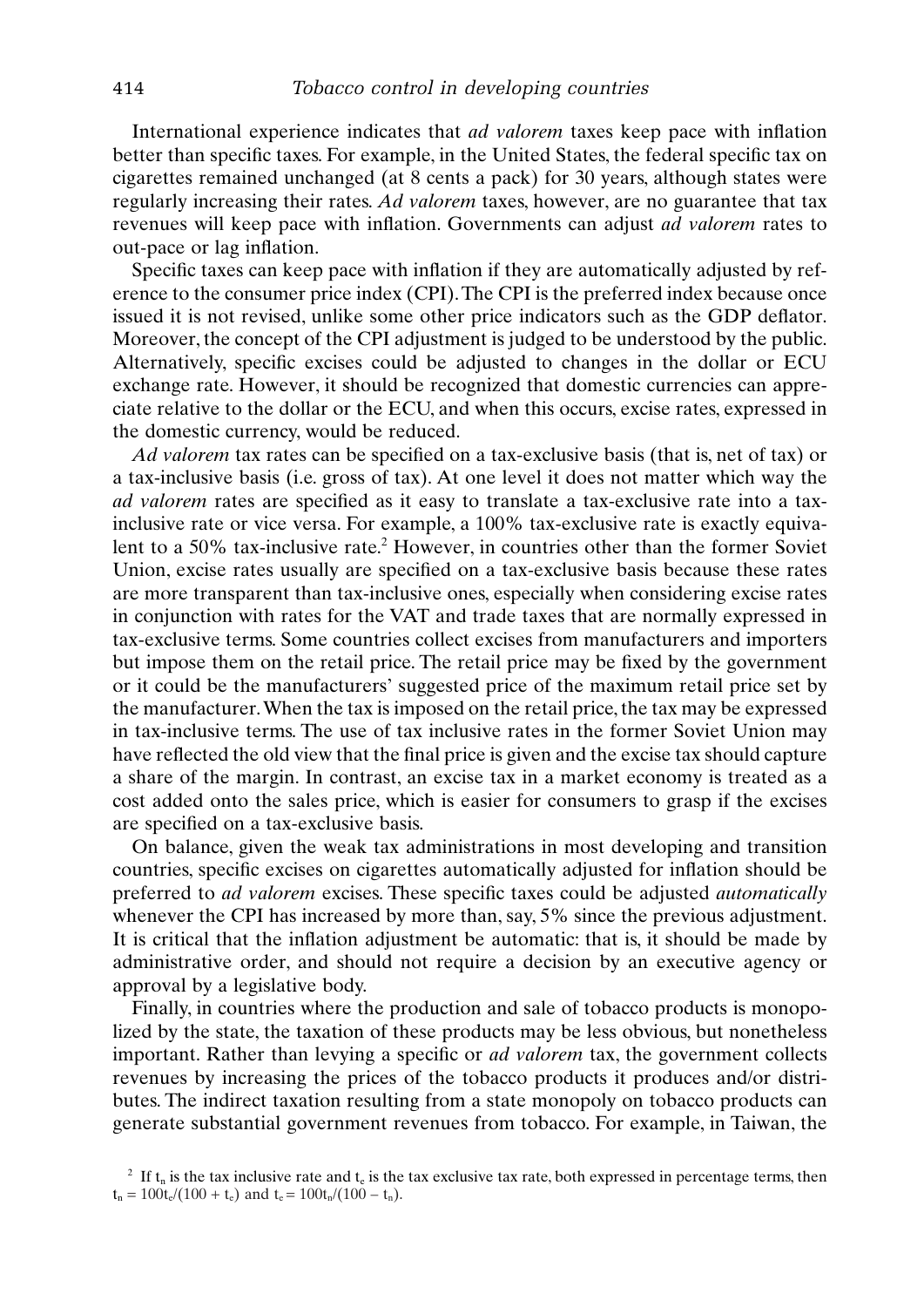International experience indicates that *ad valorem* taxes keep pace with inflation better than specific taxes. For example, in the United States, the federal specific tax on cigarettes remained unchanged (at 8 cents a pack) for 30 years, although states were regularly increasing their rates. *Ad valorem* taxes, however, are no guarantee that tax revenues will keep pace with inflation. Governments can adjust *ad valorem* rates to out-pace or lag inflation.

Specific taxes can keep pace with inflation if they are automatically adjusted by reference to the consumer price index (CPI).The CPI is the preferred index because once issued it is not revised, unlike some other price indicators such as the GDP deflator. Moreover, the concept of the CPI adjustment is judged to be understood by the public. Alternatively, specific excises could be adjusted to changes in the dollar or ECU exchange rate. However, it should be recognized that domestic currencies can appreciate relative to the dollar or the ECU, and when this occurs, excise rates, expressed in the domestic currency, would be reduced.

*Ad valorem* tax rates can be specified on a tax-exclusive basis (that is, net of tax) or a tax-inclusive basis (i.e. gross of tax). At one level it does not matter which way the *ad valorem* rates are specified as it easy to translate a tax-exclusive rate into a taxinclusive rate or vice versa. For example, a 100% tax-exclusive rate is exactly equivalent to a 50% tax-inclusive rate.<sup>2</sup> However, in countries other than the former Soviet Union, excise rates usually are specified on a tax-exclusive basis because these rates are more transparent than tax-inclusive ones, especially when considering excise rates in conjunction with rates for the VAT and trade taxes that are normally expressed in tax-exclusive terms. Some countries collect excises from manufacturers and importers but impose them on the retail price. The retail price may be fixed by the government or it could be the manufacturers' suggested price of the maximum retail price set by the manufacturer.When the tax is imposed on the retail price, the tax may be expressed in tax-inclusive terms. The use of tax inclusive rates in the former Soviet Union may have reflected the old view that the final price is given and the excise tax should capture a share of the margin. In contrast, an excise tax in a market economy is treated as a cost added onto the sales price, which is easier for consumers to grasp if the excises are specified on a tax-exclusive basis.

On balance, given the weak tax administrations in most developing and transition countries, specific excises on cigarettes automatically adjusted for inflation should be preferred to *ad valorem* excises. These specific taxes could be adjusted *automatically* whenever the CPI has increased by more than, say, 5% since the previous adjustment. It is critical that the inflation adjustment be automatic: that is, it should be made by administrative order, and should not require a decision by an executive agency or approval by a legislative body.

Finally, in countries where the production and sale of tobacco products is monopolized by the state, the taxation of these products may be less obvious, but nonetheless important. Rather than levying a specific or *ad valorem* tax, the government collects revenues by increasing the prices of the tobacco products it produces and/or distributes. The indirect taxation resulting from a state monopoly on tobacco products can generate substantial government revenues from tobacco. For example, in Taiwan, the

<sup>&</sup>lt;sup>2</sup> If t<sub>n</sub> is the tax inclusive rate and t<sub>e</sub> is the tax exclusive tax rate, both expressed in percentage terms, then  $t_n = 100t_e/(100 + t_e)$  and  $t_e = 100t_n/(100 - t_n)$ .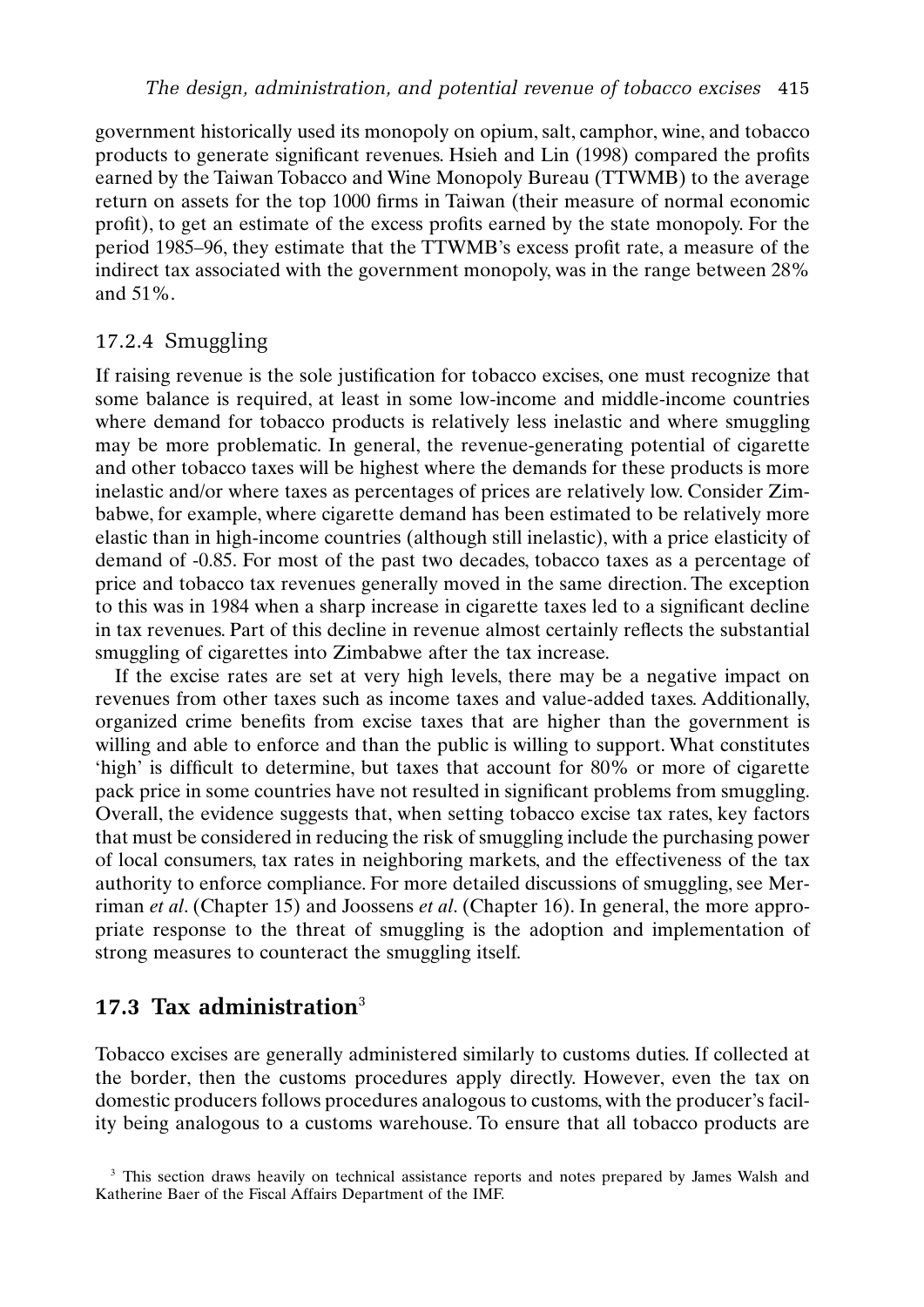government historically used its monopoly on opium, salt, camphor, wine, and tobacco products to generate significant revenues. Hsieh and Lin (1998) compared the profits earned by the Taiwan Tobacco and Wine Monopoly Bureau (TTWMB) to the average return on assets for the top 1000 firms in Taiwan (their measure of normal economic profit), to get an estimate of the excess profits earned by the state monopoly. For the period 1985–96, they estimate that the TTWMB's excess profit rate, a measure of the indirect tax associated with the government monopoly, was in the range between 28% and 51%.

## 17.2.4 Smuggling

If raising revenue is the sole justification for tobacco excises, one must recognize that some balance is required, at least in some low-income and middle-income countries where demand for tobacco products is relatively less inelastic and where smuggling may be more problematic. In general, the revenue-generating potential of cigarette and other tobacco taxes will be highest where the demands for these products is more inelastic and/or where taxes as percentages of prices are relatively low. Consider Zimbabwe, for example, where cigarette demand has been estimated to be relatively more elastic than in high-income countries (although still inelastic), with a price elasticity of demand of -0.85. For most of the past two decades, tobacco taxes as a percentage of price and tobacco tax revenues generally moved in the same direction. The exception to this was in 1984 when a sharp increase in cigarette taxes led to a significant decline in tax revenues. Part of this decline in revenue almost certainly reflects the substantial smuggling of cigarettes into Zimbabwe after the tax increase.

If the excise rates are set at very high levels, there may be a negative impact on revenues from other taxes such as income taxes and value-added taxes. Additionally, organized crime benefits from excise taxes that are higher than the government is willing and able to enforce and than the public is willing to support. What constitutes 'high' is difficult to determine, but taxes that account for 80% or more of cigarette pack price in some countries have not resulted in significant problems from smuggling. Overall, the evidence suggests that, when setting tobacco excise tax rates, key factors that must be considered in reducing the risk of smuggling include the purchasing power of local consumers, tax rates in neighboring markets, and the effectiveness of the tax authority to enforce compliance. For more detailed discussions of smuggling, see Merriman *et al*. (Chapter 15) and Joossens *et al*. (Chapter 16). In general, the more appropriate response to the threat of smuggling is the adoption and implementation of strong measures to counteract the smuggling itself.

# **17.3 Tax administration**<sup>3</sup>

Tobacco excises are generally administered similarly to customs duties. If collected at the border, then the customs procedures apply directly. However, even the tax on domestic producers follows procedures analogous to customs, with the producer's facility being analogous to a customs warehouse. To ensure that all tobacco products are

<sup>&</sup>lt;sup>3</sup> This section draws heavily on technical assistance reports and notes prepared by James Walsh and Katherine Baer of the Fiscal Affairs Department of the IMF.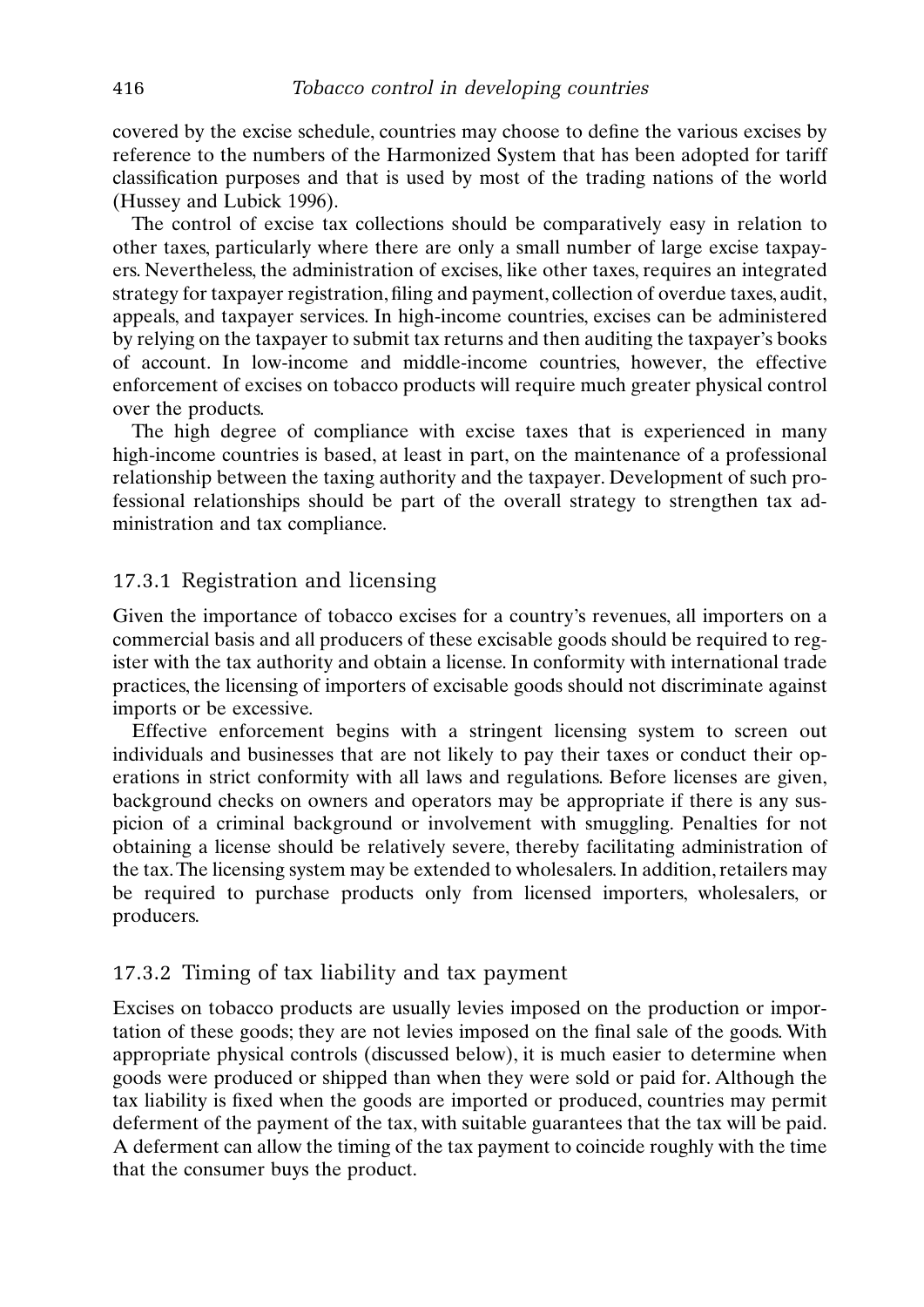covered by the excise schedule, countries may choose to define the various excises by reference to the numbers of the Harmonized System that has been adopted for tariff classification purposes and that is used by most of the trading nations of the world (Hussey and Lubick 1996).

The control of excise tax collections should be comparatively easy in relation to other taxes, particularly where there are only a small number of large excise taxpayers. Nevertheless, the administration of excises, like other taxes, requires an integrated strategy for taxpayer registration, filing and payment, collection of overdue taxes, audit, appeals, and taxpayer services. In high-income countries, excises can be administered by relying on the taxpayer to submit tax returns and then auditing the taxpayer's books of account. In low-income and middle-income countries, however, the effective enforcement of excises on tobacco products will require much greater physical control over the products.

The high degree of compliance with excise taxes that is experienced in many high-income countries is based, at least in part, on the maintenance of a professional relationship between the taxing authority and the taxpayer. Development of such professional relationships should be part of the overall strategy to strengthen tax administration and tax compliance.

#### 17.3.1 Registration and licensing

Given the importance of tobacco excises for a country's revenues, all importers on a commercial basis and all producers of these excisable goods should be required to register with the tax authority and obtain a license. In conformity with international trade practices, the licensing of importers of excisable goods should not discriminate against imports or be excessive.

Effective enforcement begins with a stringent licensing system to screen out individuals and businesses that are not likely to pay their taxes or conduct their operations in strict conformity with all laws and regulations. Before licenses are given, background checks on owners and operators may be appropriate if there is any suspicion of a criminal background or involvement with smuggling. Penalties for not obtaining a license should be relatively severe, thereby facilitating administration of the tax.The licensing system may be extended to wholesalers. In addition, retailers may be required to purchase products only from licensed importers, wholesalers, or producers.

#### 17.3.2 Timing of tax liability and tax payment

Excises on tobacco products are usually levies imposed on the production or importation of these goods; they are not levies imposed on the final sale of the goods. With appropriate physical controls (discussed below), it is much easier to determine when goods were produced or shipped than when they were sold or paid for. Although the tax liability is fixed when the goods are imported or produced, countries may permit deferment of the payment of the tax, with suitable guarantees that the tax will be paid. A deferment can allow the timing of the tax payment to coincide roughly with the time that the consumer buys the product.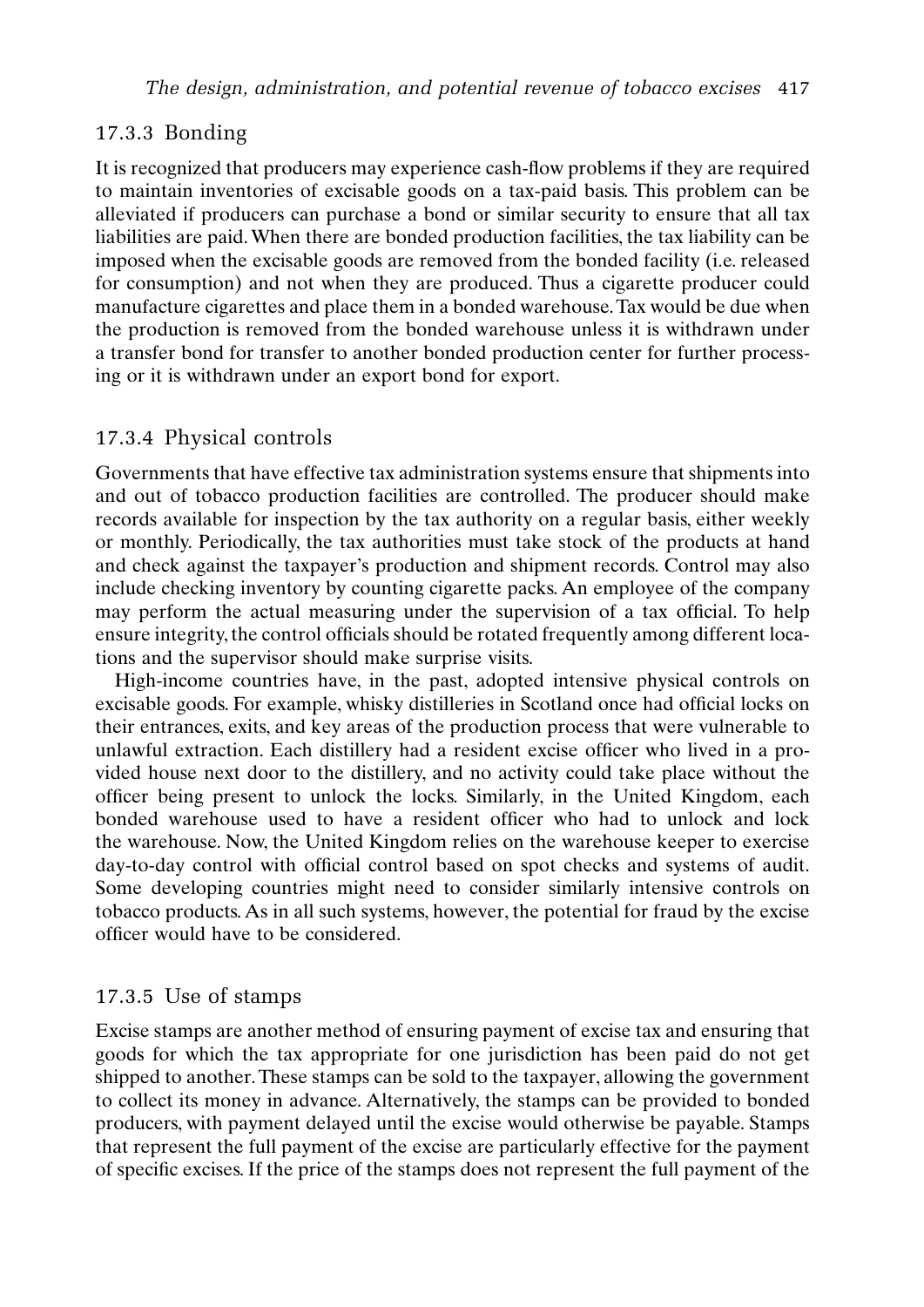## 17.3.3 Bonding

It is recognized that producers may experience cash-flow problems if they are required to maintain inventories of excisable goods on a tax-paid basis. This problem can be alleviated if producers can purchase a bond or similar security to ensure that all tax liabilities are paid. When there are bonded production facilities, the tax liability can be imposed when the excisable goods are removed from the bonded facility (i.e. released for consumption) and not when they are produced. Thus a cigarette producer could manufacture cigarettes and place them in a bonded warehouse.Tax would be due when the production is removed from the bonded warehouse unless it is withdrawn under a transfer bond for transfer to another bonded production center for further processing or it is withdrawn under an export bond for export.

# 17.3.4 Physical controls

Governments that have effective tax administration systems ensure that shipments into and out of tobacco production facilities are controlled. The producer should make records available for inspection by the tax authority on a regular basis, either weekly or monthly. Periodically, the tax authorities must take stock of the products at hand and check against the taxpayer's production and shipment records. Control may also include checking inventory by counting cigarette packs. An employee of the company may perform the actual measuring under the supervision of a tax official. To help ensure integrity, the control officials should be rotated frequently among different locations and the supervisor should make surprise visits.

High-income countries have, in the past, adopted intensive physical controls on excisable goods. For example, whisky distilleries in Scotland once had official locks on their entrances, exits, and key areas of the production process that were vulnerable to unlawful extraction. Each distillery had a resident excise officer who lived in a provided house next door to the distillery, and no activity could take place without the officer being present to unlock the locks. Similarly, in the United Kingdom, each bonded warehouse used to have a resident officer who had to unlock and lock the warehouse. Now, the United Kingdom relies on the warehouse keeper to exercise day-to-day control with official control based on spot checks and systems of audit. Some developing countries might need to consider similarly intensive controls on tobacco products. As in all such systems, however, the potential for fraud by the excise officer would have to be considered.

## 17.3.5 Use of stamps

Excise stamps are another method of ensuring payment of excise tax and ensuring that goods for which the tax appropriate for one jurisdiction has been paid do not get shipped to another.These stamps can be sold to the taxpayer, allowing the government to collect its money in advance. Alternatively, the stamps can be provided to bonded producers, with payment delayed until the excise would otherwise be payable. Stamps that represent the full payment of the excise are particularly effective for the payment of specific excises. If the price of the stamps does not represent the full payment of the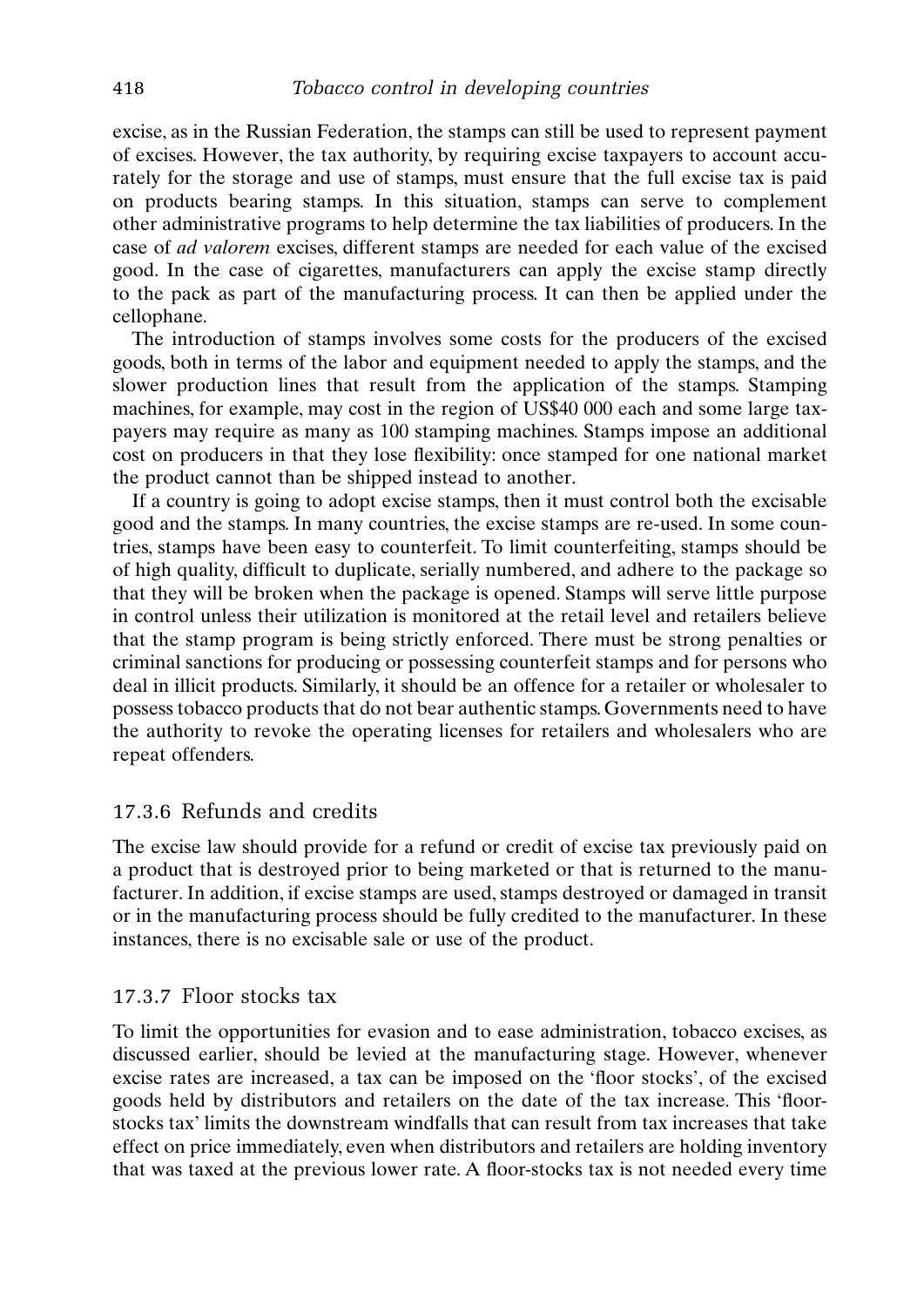excise, as in the Russian Federation, the stamps can still be used to represent payment of excises. However, the tax authority, by requiring excise taxpayers to account accurately for the storage and use of stamps, must ensure that the full excise tax is paid on products bearing stamps. In this situation, stamps can serve to complement other administrative programs to help determine the tax liabilities of producers. In the case of *ad valorem* excises, different stamps are needed for each value of the excised good. In the case of cigarettes, manufacturers can apply the excise stamp directly to the pack as part of the manufacturing process. It can then be applied under the cellophane.

The introduction of stamps involves some costs for the producers of the excised goods, both in terms of the labor and equipment needed to apply the stamps, and the slower production lines that result from the application of the stamps. Stamping machines, for example, may cost in the region of US\$40 000 each and some large taxpayers may require as many as 100 stamping machines. Stamps impose an additional cost on producers in that they lose flexibility: once stamped for one national market the product cannot than be shipped instead to another.

If a country is going to adopt excise stamps, then it must control both the excisable good and the stamps. In many countries, the excise stamps are re-used. In some countries, stamps have been easy to counterfeit. To limit counterfeiting, stamps should be of high quality, difficult to duplicate, serially numbered, and adhere to the package so that they will be broken when the package is opened. Stamps will serve little purpose in control unless their utilization is monitored at the retail level and retailers believe that the stamp program is being strictly enforced. There must be strong penalties or criminal sanctions for producing or possessing counterfeit stamps and for persons who deal in illicit products. Similarly, it should be an offence for a retailer or wholesaler to possess tobacco products that do not bear authentic stamps. Governments need to have the authority to revoke the operating licenses for retailers and wholesalers who are repeat offenders.

## 17.3.6 Refunds and credits

The excise law should provide for a refund or credit of excise tax previously paid on a product that is destroyed prior to being marketed or that is returned to the manufacturer. In addition, if excise stamps are used, stamps destroyed or damaged in transit or in the manufacturing process should be fully credited to the manufacturer. In these instances, there is no excisable sale or use of the product.

## 17.3.7 Floor stocks tax

To limit the opportunities for evasion and to ease administration, tobacco excises, as discussed earlier, should be levied at the manufacturing stage. However, whenever excise rates are increased, a tax can be imposed on the 'floor stocks', of the excised goods held by distributors and retailers on the date of the tax increase. This 'floorstocks tax' limits the downstream windfalls that can result from tax increases that take effect on price immediately, even when distributors and retailers are holding inventory that was taxed at the previous lower rate. A floor-stocks tax is not needed every time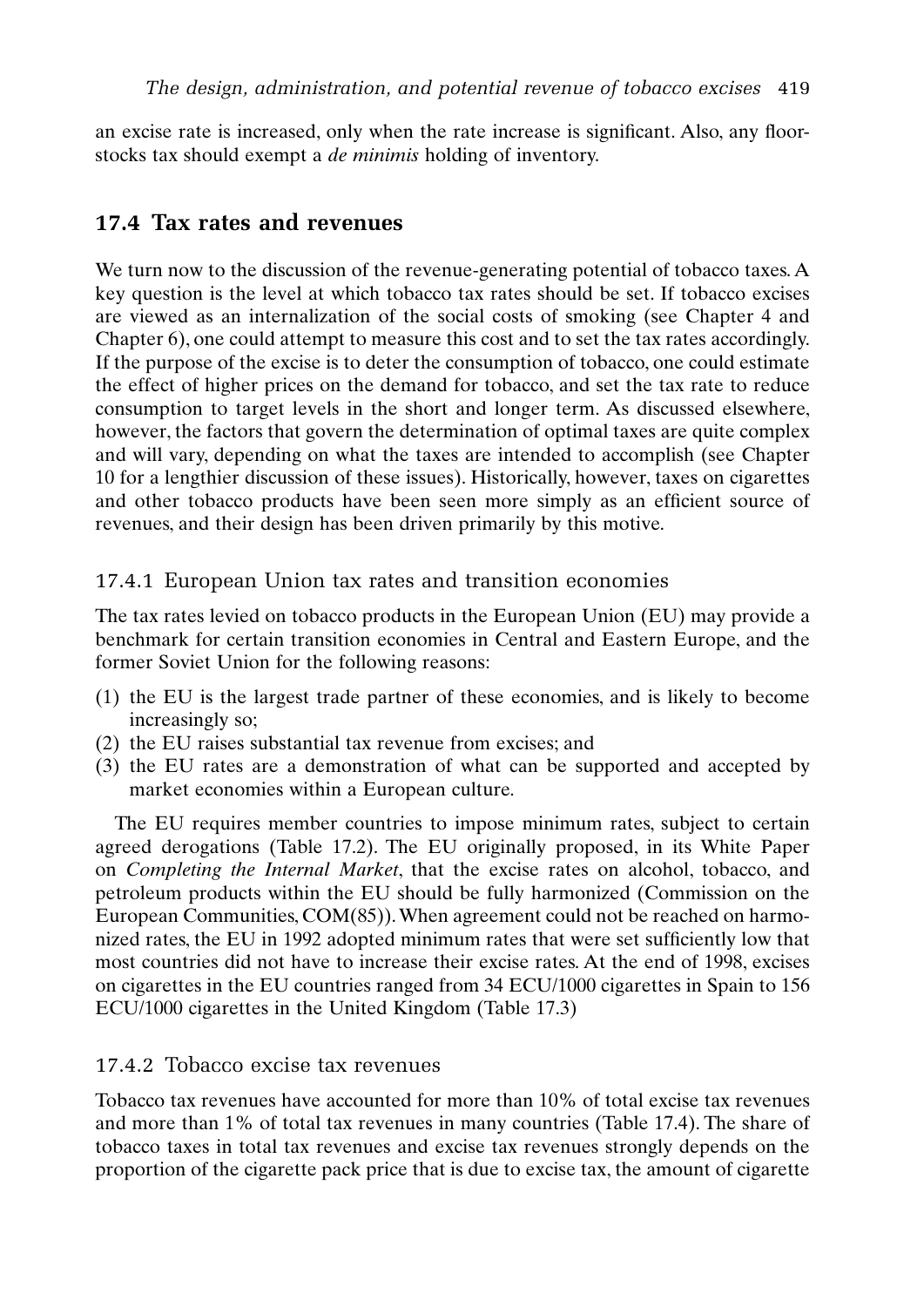an excise rate is increased, only when the rate increase is significant. Also, any floorstocks tax should exempt a *de minimis* holding of inventory.

# **17.4 Tax rates and revenues**

We turn now to the discussion of the revenue-generating potential of tobacco taxes. A key question is the level at which tobacco tax rates should be set. If tobacco excises are viewed as an internalization of the social costs of smoking (see Chapter 4 and Chapter 6), one could attempt to measure this cost and to set the tax rates accordingly. If the purpose of the excise is to deter the consumption of tobacco, one could estimate the effect of higher prices on the demand for tobacco, and set the tax rate to reduce consumption to target levels in the short and longer term. As discussed elsewhere, however, the factors that govern the determination of optimal taxes are quite complex and will vary, depending on what the taxes are intended to accomplish (see Chapter 10 for a lengthier discussion of these issues). Historically, however, taxes on cigarettes and other tobacco products have been seen more simply as an efficient source of revenues, and their design has been driven primarily by this motive.

## 17.4.1 European Union tax rates and transition economies

The tax rates levied on tobacco products in the European Union (EU) may provide a benchmark for certain transition economies in Central and Eastern Europe, and the former Soviet Union for the following reasons:

- (1) the EU is the largest trade partner of these economies, and is likely to become increasingly so;
- (2) the EU raises substantial tax revenue from excises; and
- (3) the EU rates are a demonstration of what can be supported and accepted by market economies within a European culture.

The EU requires member countries to impose minimum rates, subject to certain agreed derogations (Table 17.2). The EU originally proposed, in its White Paper on *Completing the Internal Market*, that the excise rates on alcohol, tobacco, and petroleum products within the EU should be fully harmonized (Commission on the European Communities, COM(85)).When agreement could not be reached on harmonized rates, the EU in 1992 adopted minimum rates that were set sufficiently low that most countries did not have to increase their excise rates. At the end of 1998, excises on cigarettes in the EU countries ranged from 34 ECU/1000 cigarettes in Spain to 156 ECU/1000 cigarettes in the United Kingdom (Table 17.3)

### 17.4.2 Tobacco excise tax revenues

Tobacco tax revenues have accounted for more than 10% of total excise tax revenues and more than 1% of total tax revenues in many countries (Table 17.4). The share of tobacco taxes in total tax revenues and excise tax revenues strongly depends on the proportion of the cigarette pack price that is due to excise tax, the amount of cigarette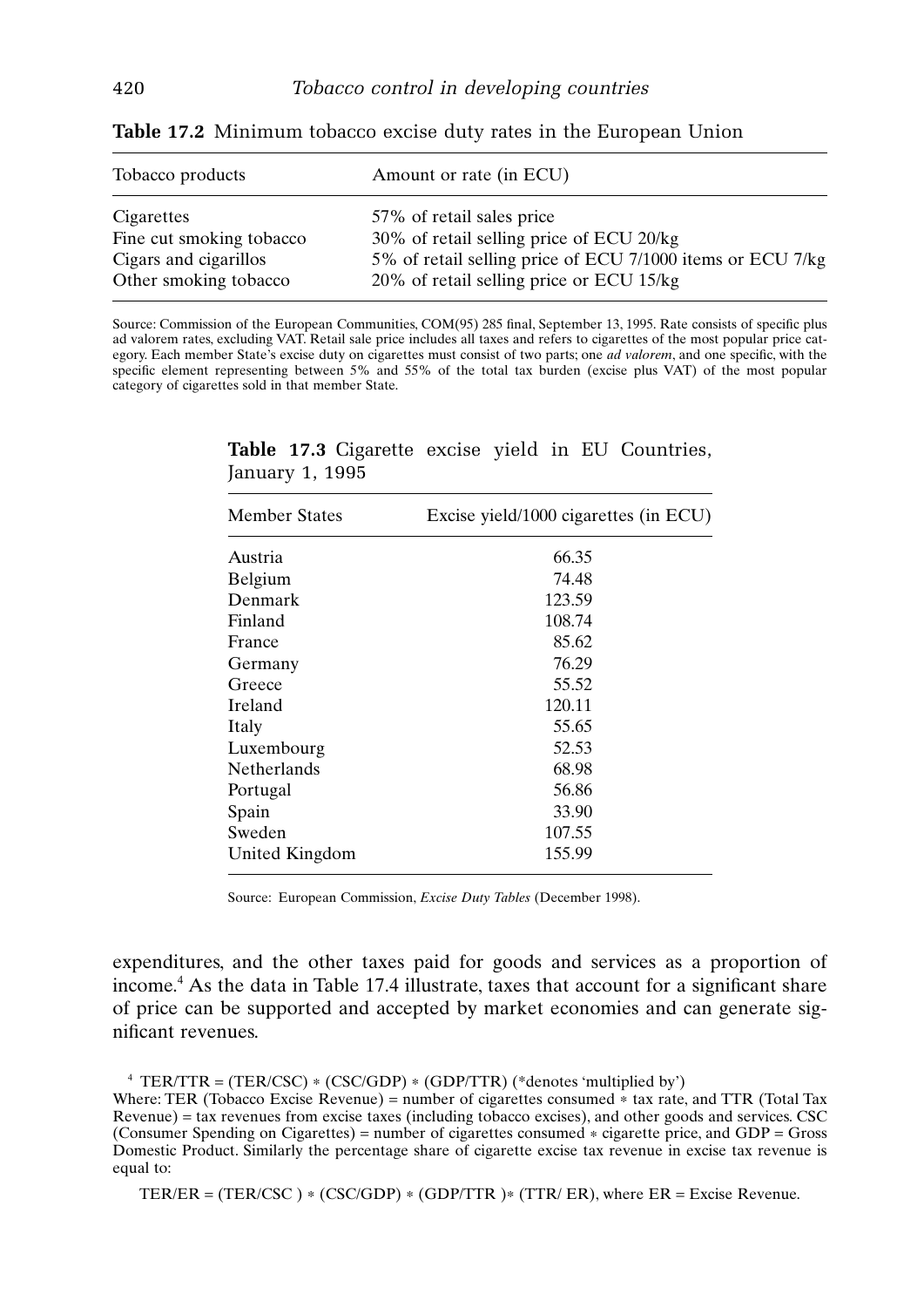| Tobacco products         | Amount or rate (in ECU)                                    |
|--------------------------|------------------------------------------------------------|
| Cigarettes               | 57% of retail sales price                                  |
| Fine cut smoking tobacco | 30% of retail selling price of ECU 20/kg                   |
| Cigars and cigarillos    | 5% of retail selling price of ECU 7/1000 items or ECU 7/kg |
| Other smoking tobacco    | 20% of retail selling price or ECU 15/kg                   |

**Table 17.2** Minimum tobacco excise duty rates in the European Union

Source: Commission of the European Communities, COM(95) 285 final, September 13, 1995. Rate consists of specific plus ad valorem rates, excluding VAT. Retail sale price includes all taxes and refers to cigarettes of the most popular price category. Each member State's excise duty on cigarettes must consist of two parts; one *ad valorem*, and one specific, with the specific element representing between 5% and 55% of the total tax burden (excise plus VAT) of the most popular category of cigarettes sold in that member State.

Member States Excise yield/1000 cigarettes (in ECU) Austria 66.35 Belgium 74.48 Denmark 123.59 Finland 108.74 France 85.62 Germany 76.29 Greece 55.52 Ireland 120.11 Italy 55.65 Luxembourg 52.53 Netherlands 68.98 Portugal 56.86 Spain 33.90 Sweden 107.55 United Kingdom 155.99

**Table 17.3** Cigarette excise yield in EU Countries, January 1, 1995

Source: European Commission, *Excise Duty Tables* (December 1998).

expenditures, and the other taxes paid for goods and services as a proportion of income.4 As the data in Table 17.4 illustrate, taxes that account for a significant share of price can be supported and accepted by market economies and can generate significant revenues.

```
4 \text{ TER/TTR} = (\text{TER/CSC}) * (\text{CSC/GDP}) * (\text{GDP/TTR}) (*denotes 'multiplied by')
```
Where: TER (Tobacco Excise Revenue) = number of cigarettes consumed  $*$  tax rate, and TTR (Total Tax Revenue) = tax revenues from excise taxes (including tobacco excises), and other goods and services. CSC (Consumer Spending on Cigarettes) = number of cigarettes consumed \* cigarette price, and GDP = Gross Domestic Product. Similarly the percentage share of cigarette excise tax revenue in excise tax revenue is equal to:

TER/ER =  $(TER/CSC)$  \*  $(CSC/GDP)$  \*  $(GDP/TTR)$  \*  $(TTR/ER)$ , where  $ER$  = Excise Revenue.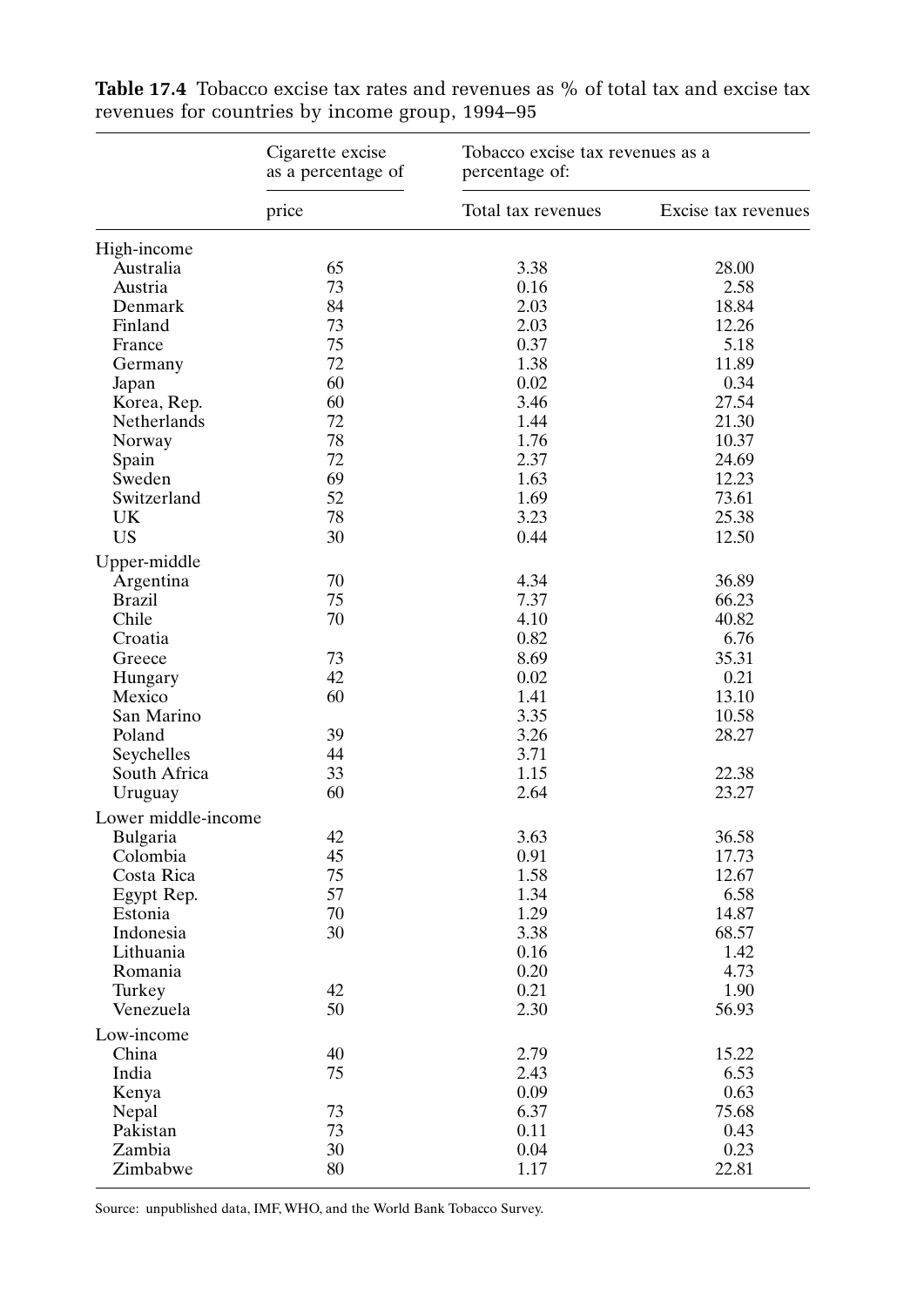|                     | Cigarette excise<br>as a percentage of | Tobacco excise tax revenues as a<br>percentage of: |                     |
|---------------------|----------------------------------------|----------------------------------------------------|---------------------|
|                     | price                                  | Total tax revenues                                 | Excise tax revenues |
| High-income         |                                        |                                                    |                     |
| Australia           | 65                                     | 3.38                                               | 28.00               |
| Austria             | 73                                     | 0.16                                               | 2.58                |
| Denmark             | 84                                     | 2.03                                               | 18.84               |
| Finland             | 73                                     | 2.03                                               | 12.26               |
| France              | 75                                     | 0.37                                               | 5.18                |
| Germany             | 72                                     | 1.38                                               | 11.89               |
| Japan               | 60                                     | 0.02                                               | 0.34                |
| Korea, Rep.         | 60                                     | 3.46                                               | 27.54               |
| Netherlands         | 72                                     | 1.44                                               | 21.30               |
| Norway              | 78                                     | 1.76                                               | 10.37               |
| Spain               | 72                                     | 2.37                                               | 24.69               |
| Sweden              | 69                                     | 1.63                                               | 12.23               |
| Switzerland         | 52                                     | 1.69                                               | 73.61               |
| UK                  | 78                                     | 3.23                                               | 25.38               |
| <b>US</b>           | 30                                     | 0.44                                               | 12.50               |
|                     |                                        |                                                    |                     |
| Upper-middle        |                                        |                                                    |                     |
| Argentina           | 70                                     | 4.34                                               | 36.89               |
| <b>Brazil</b>       | 75                                     | 7.37                                               | 66.23               |
| Chile               | 70                                     | 4.10                                               | 40.82               |
| Croatia             |                                        | 0.82                                               | 6.76                |
| Greece              | 73                                     | 8.69                                               | 35.31               |
| Hungary             | 42                                     | 0.02                                               | 0.21                |
| Mexico              | 60                                     | 1.41                                               | 13.10               |
| San Marino          |                                        | 3.35                                               | 10.58               |
| Poland              | 39                                     | 3.26                                               | 28.27               |
| Seychelles          | 44                                     | 3.71                                               |                     |
| South Africa        | 33                                     | 1.15                                               | 22.38               |
| Uruguay             | 60                                     | 2.64                                               | 23.27               |
| Lower middle-income |                                        |                                                    |                     |
| <b>Bulgaria</b>     | 42                                     | 3.63                                               | 36.58               |
| Colombia            | 45                                     | 0.91                                               | 17.73               |
| Costa Rica          | 75                                     | 1.58                                               | 12.67               |
| Egypt Rep.          | 57                                     | 1.34                                               | 6.58                |
| Estonia             | 70                                     | 1.29                                               | 14.87               |
| Indonesia           | 30                                     | 3.38                                               | 68.57               |
| Lithuania           |                                        | 0.16                                               | 1.42                |
| Romania             |                                        | 0.20                                               | 4.73                |
| Turkey              | 42                                     | 0.21                                               | 1.90                |
| Venezuela           | 50                                     | 2.30                                               | 56.93               |
| Low-income          |                                        |                                                    |                     |
| China               | 40                                     | 2.79                                               | 15.22               |
| India               | 75                                     | 2.43                                               | 6.53                |
| Kenya               |                                        | 0.09                                               | 0.63                |
|                     | 73                                     | 6.37                                               | 75.68               |
| Nepal               |                                        |                                                    |                     |
| Pakistan            | 73                                     | 0.11                                               | 0.43                |
| Zambia              | 30                                     | 0.04                                               | 0.23                |
| Zimbabwe            | 80                                     | 1.17                                               | 22.81               |

**Table 17.4** Tobacco excise tax rates and revenues as % of total tax and excise tax revenues for countries by income group, 1994–95

Source: unpublished data, IMF, WHO, and the World Bank Tobacco Survey.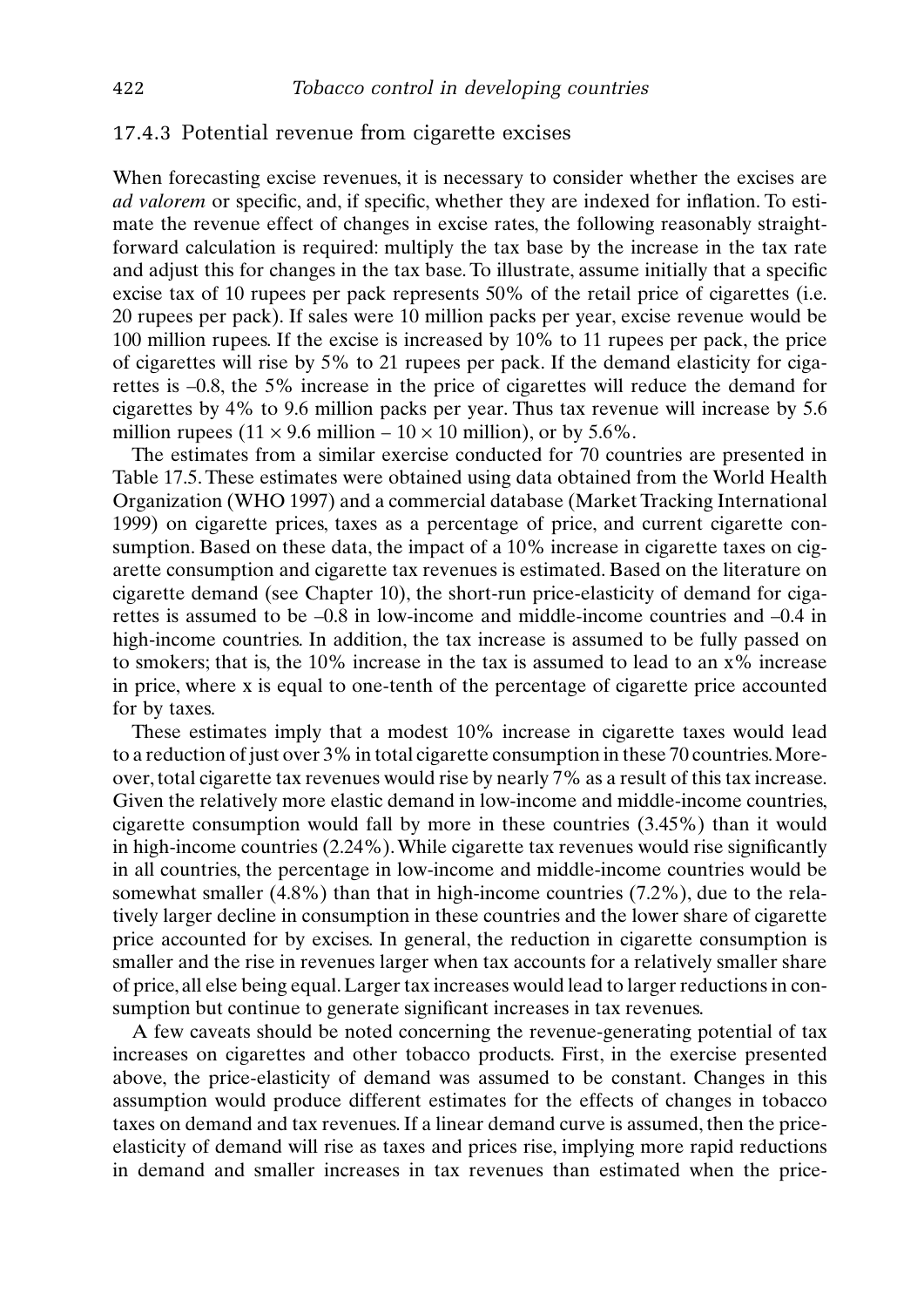#### 17.4.3 Potential revenue from cigarette excises

When forecasting excise revenues, it is necessary to consider whether the excises are *ad valorem* or specific, and, if specific, whether they are indexed for inflation. To estimate the revenue effect of changes in excise rates, the following reasonably straightforward calculation is required: multiply the tax base by the increase in the tax rate and adjust this for changes in the tax base. To illustrate, assume initially that a specific excise tax of 10 rupees per pack represents 50% of the retail price of cigarettes (i.e. 20 rupees per pack). If sales were 10 million packs per year, excise revenue would be 100 million rupees. If the excise is increased by 10% to 11 rupees per pack, the price of cigarettes will rise by 5% to 21 rupees per pack. If the demand elasticity for cigarettes is –0.8, the 5% increase in the price of cigarettes will reduce the demand for cigarettes by 4% to 9.6 million packs per year. Thus tax revenue will increase by 5.6 million rupees (11  $\times$  9.6 million – 10  $\times$  10 million), or by 5.6%.

The estimates from a similar exercise conducted for 70 countries are presented in Table 17.5. These estimates were obtained using data obtained from the World Health Organization (WHO 1997) and a commercial database (Market Tracking International 1999) on cigarette prices, taxes as a percentage of price, and current cigarette consumption. Based on these data, the impact of a 10% increase in cigarette taxes on cigarette consumption and cigarette tax revenues is estimated. Based on the literature on cigarette demand (see Chapter 10), the short-run price-elasticity of demand for cigarettes is assumed to be –0.8 in low-income and middle-income countries and –0.4 in high-income countries. In addition, the tax increase is assumed to be fully passed on to smokers; that is, the 10% increase in the tax is assumed to lead to an x% increase in price, where x is equal to one-tenth of the percentage of cigarette price accounted for by taxes.

These estimates imply that a modest 10% increase in cigarette taxes would lead to a reduction of just over 3% in total cigarette consumption in these 70 countries.Moreover, total cigarette tax revenues would rise by nearly 7% as a result of this tax increase. Given the relatively more elastic demand in low-income and middle-income countries, cigarette consumption would fall by more in these countries (3.45%) than it would in high-income countries (2.24%).While cigarette tax revenues would rise significantly in all countries, the percentage in low-income and middle-income countries would be somewhat smaller (4.8%) than that in high-income countries (7.2%), due to the relatively larger decline in consumption in these countries and the lower share of cigarette price accounted for by excises. In general, the reduction in cigarette consumption is smaller and the rise in revenues larger when tax accounts for a relatively smaller share of price, all else being equal. Larger tax increases would lead to larger reductions in consumption but continue to generate significant increases in tax revenues.

A few caveats should be noted concerning the revenue-generating potential of tax increases on cigarettes and other tobacco products. First, in the exercise presented above, the price-elasticity of demand was assumed to be constant. Changes in this assumption would produce different estimates for the effects of changes in tobacco taxes on demand and tax revenues. If a linear demand curve is assumed, then the priceelasticity of demand will rise as taxes and prices rise, implying more rapid reductions in demand and smaller increases in tax revenues than estimated when the price-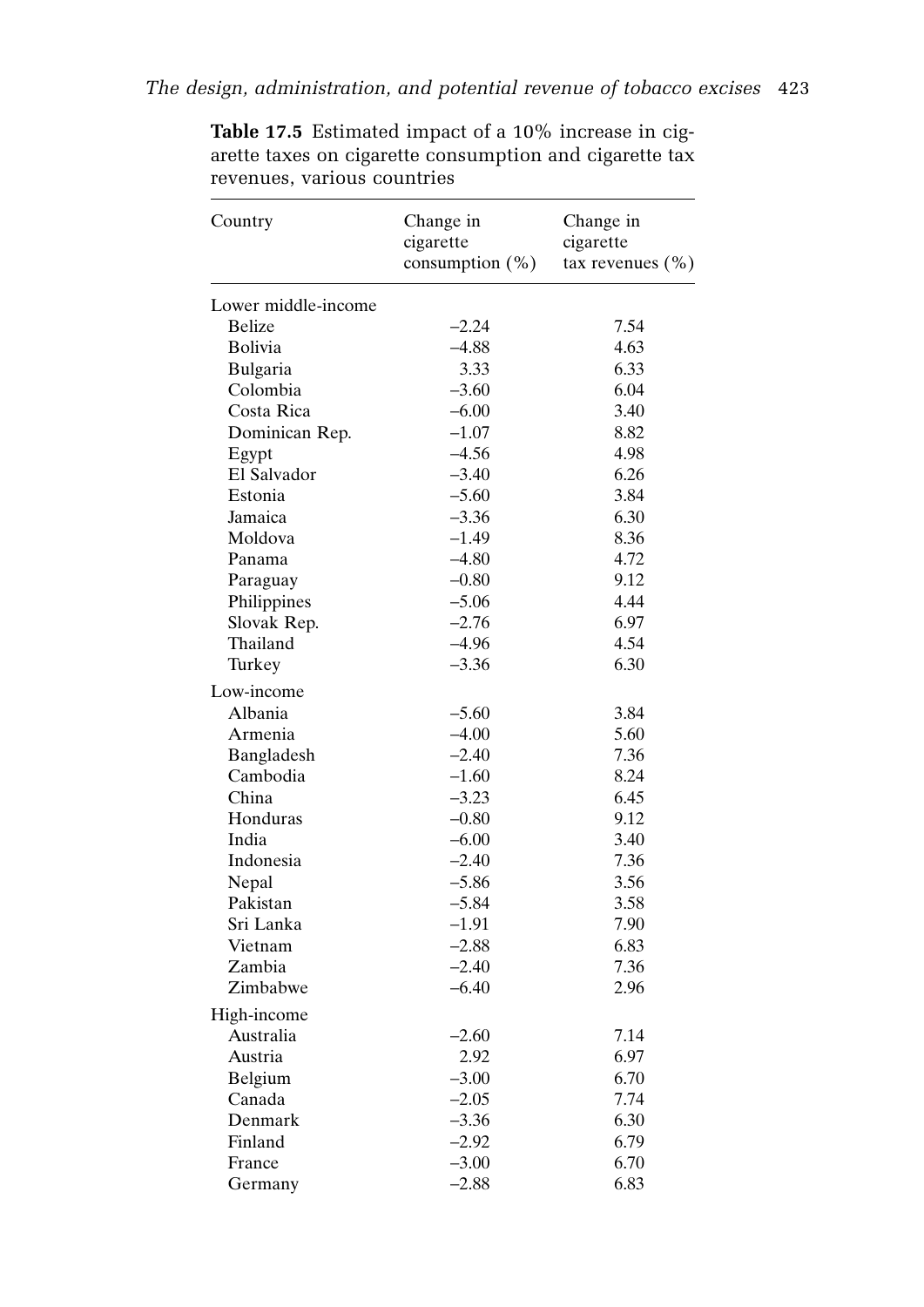| Country             | Change in<br>cigarette<br>consumption $(\% )$ | Change in<br>cigarette<br>tax revenues $(\% )$ |
|---------------------|-----------------------------------------------|------------------------------------------------|
| Lower middle-income |                                               |                                                |
| <b>Belize</b>       | $-2.24$                                       | 7.54                                           |
| Bolivia             | $-4.88$                                       | 4.63                                           |
| Bulgaria            | 3.33                                          | 6.33                                           |
| Colombia            | $-3.60$                                       | 6.04                                           |
| Costa Rica          | $-6.00$                                       | 3.40                                           |
| Dominican Rep.      | $-1.07$                                       | 8.82                                           |
| Egypt               | $-4.56$                                       | 4.98                                           |
| El Salvador         | $-3.40$                                       | 6.26                                           |
| Estonia             | $-5.60$                                       | 3.84                                           |
| Jamaica             | $-3.36$                                       | 6.30                                           |
| Moldova             | $-1.49$                                       | 8.36                                           |
| Panama              | $-4.80$                                       | 4.72                                           |
| Paraguay            | $-0.80$                                       | 9.12                                           |
| Philippines         | $-5.06$                                       | 4.44                                           |
| Slovak Rep.         | $-2.76$                                       | 6.97                                           |
| Thailand            | $-4.96$                                       | 4.54                                           |
| Turkey              | $-3.36$                                       | 6.30                                           |
| Low-income          |                                               |                                                |
| Albania             | $-5.60$                                       | 3.84                                           |
| Armenia             | $-4.00$                                       | 5.60                                           |
| Bangladesh          | $-2.40$                                       | 7.36                                           |
| Cambodia            | $-1.60$                                       | 8.24                                           |
| China               | $-3.23$                                       | 6.45                                           |
| Honduras            | $-0.80$                                       | 9.12                                           |
| India               | $-6.00$                                       | 3.40                                           |
| Indonesia           | $-2.40$                                       | 7.36                                           |
| Nepal               | $-5.86$                                       | 3.56                                           |
| Pakistan            | $-5.84$                                       | 3.58                                           |
| Sri Lanka           | $-1.91$                                       | 7.90                                           |
| Vietnam             | $-2.88$                                       | 6.83                                           |
| Zambia              | $-2.40$                                       | 7.36                                           |
| Zimbabwe            | $-6.40$                                       | 2.96                                           |
| High-income         |                                               |                                                |
| Australia           | $-2.60$                                       | 7.14                                           |
| Austria             | 2.92                                          | 6.97                                           |
| Belgium             | $-3.00$                                       | 6.70                                           |
| Canada              | $-2.05$                                       | 7.74                                           |
| Denmark             | $-3.36$                                       | 6.30                                           |
| Finland             | $-2.92$                                       | 6.79                                           |
| France              | $-3.00$                                       | 6.70                                           |
| Germany             | $-2.88$                                       | 6.83                                           |

**Table 17.5** Estimated impact of a 10% increase in cigarette taxes on cigarette consumption and cigarette tax revenues, various countries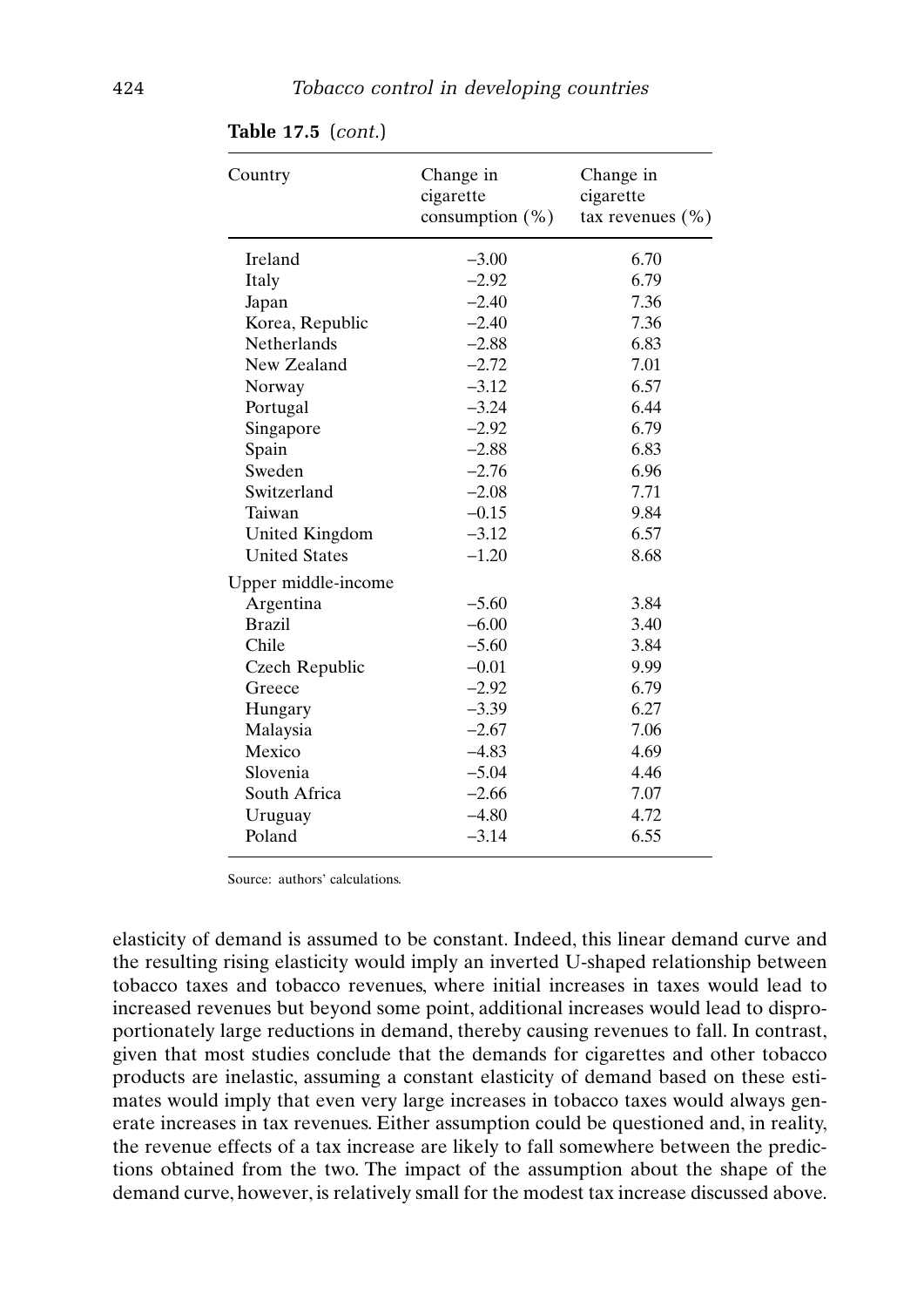| Country              | Change in<br>cigarette<br>consumption $(\%)$ | Change in<br>cigarette<br>tax revenues $(\% )$ |
|----------------------|----------------------------------------------|------------------------------------------------|
| Ireland              | $-3.00$                                      | 6.70                                           |
| Italy                | $-2.92$                                      | 6.79                                           |
| Japan                | $-2.40$                                      | 7.36                                           |
| Korea, Republic      | $-2.40$                                      | 7.36                                           |
| Netherlands          | $-2.88$                                      | 6.83                                           |
| New Zealand          | $-2.72$                                      | 7.01                                           |
| Norway               | $-3.12$                                      | 6.57                                           |
| Portugal             | $-3.24$                                      | 6.44                                           |
| Singapore            | $-2.92$                                      | 6.79                                           |
| Spain                | $-2.88$                                      | 6.83                                           |
| Sweden               | $-2.76$                                      | 6.96                                           |
| Switzerland          | $-2.08$                                      | 7.71                                           |
| Taiwan               | $-0.15$                                      | 9.84                                           |
| United Kingdom       | $-3.12$                                      | 6.57                                           |
| <b>United States</b> | $-1.20$                                      | 8.68                                           |
| Upper middle-income  |                                              |                                                |
| Argentina            | $-5.60$                                      | 3.84                                           |
| <b>Brazil</b>        | $-6.00$                                      | 3.40                                           |
| Chile                | $-5.60$                                      | 3.84                                           |
| Czech Republic       | $-0.01$                                      | 9.99                                           |
| Greece               | $-2.92$                                      | 6.79                                           |
| Hungary              | $-3.39$                                      | 6.27                                           |
| Malaysia             | $-2.67$                                      | 7.06                                           |
| Mexico               | $-4.83$                                      | 4.69                                           |
| Slovenia             | $-5.04$                                      | 4.46                                           |
| South Africa         | $-2.66$                                      | 7.07                                           |
| Uruguay              | $-4.80$                                      | 4.72                                           |
| Poland               | $-3.14$                                      | 6.55                                           |

**Table 17.5** (*cont.*)

Source: authors' calculations.

elasticity of demand is assumed to be constant. Indeed, this linear demand curve and the resulting rising elasticity would imply an inverted U-shaped relationship between tobacco taxes and tobacco revenues, where initial increases in taxes would lead to increased revenues but beyond some point, additional increases would lead to disproportionately large reductions in demand, thereby causing revenues to fall. In contrast, given that most studies conclude that the demands for cigarettes and other tobacco products are inelastic, assuming a constant elasticity of demand based on these estimates would imply that even very large increases in tobacco taxes would always generate increases in tax revenues. Either assumption could be questioned and, in reality, the revenue effects of a tax increase are likely to fall somewhere between the predictions obtained from the two. The impact of the assumption about the shape of the demand curve, however, is relatively small for the modest tax increase discussed above.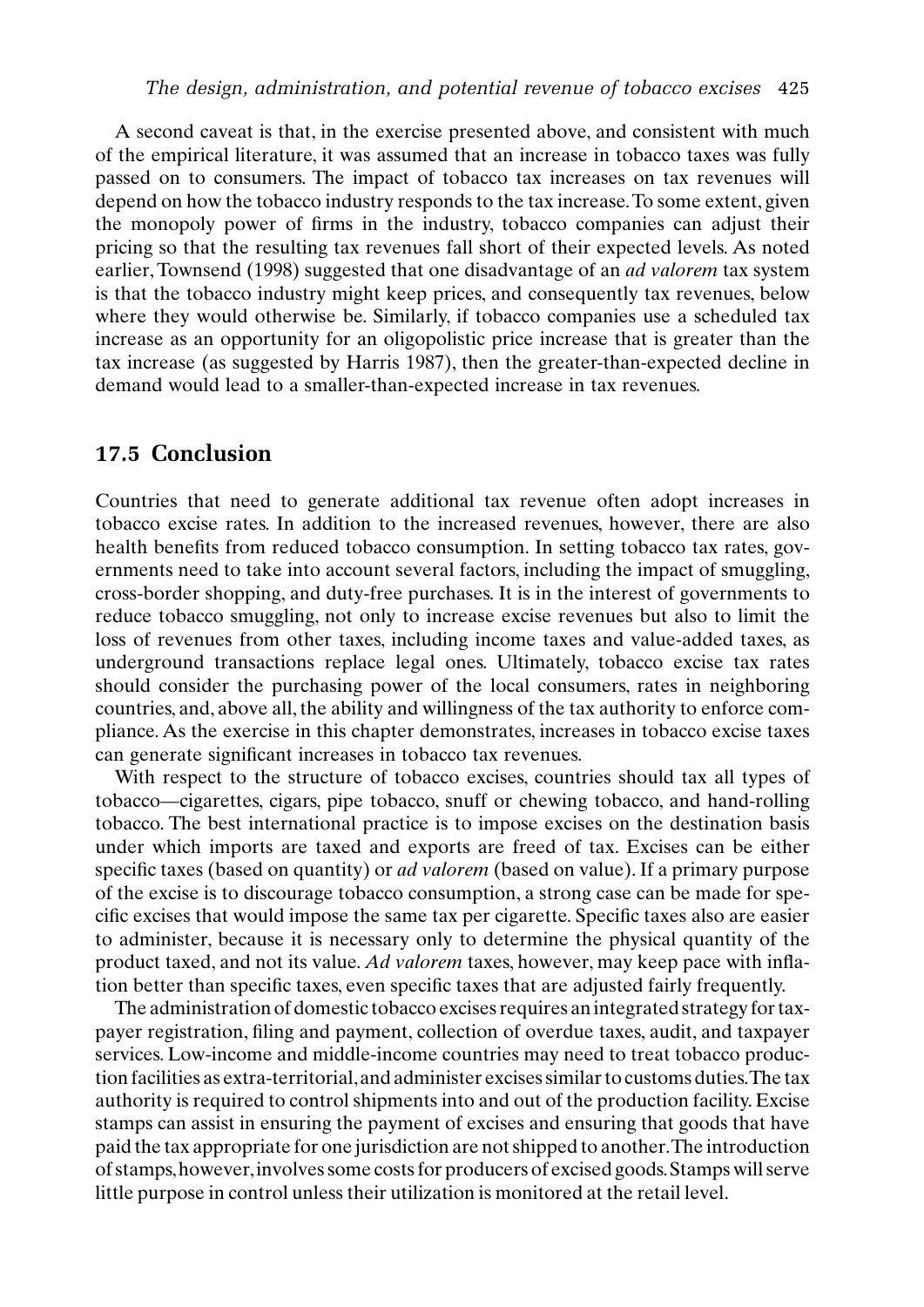A second caveat is that, in the exercise presented above, and consistent with much of the empirical literature, it was assumed that an increase in tobacco taxes was fully passed on to consumers. The impact of tobacco tax increases on tax revenues will depend on how the tobacco industry responds to the tax increase.To some extent, given the monopoly power of firms in the industry, tobacco companies can adjust their pricing so that the resulting tax revenues fall short of their expected levels. As noted earlier, Townsend (1998) suggested that one disadvantage of an *ad valorem* tax system is that the tobacco industry might keep prices, and consequently tax revenues, below where they would otherwise be. Similarly, if tobacco companies use a scheduled tax increase as an opportunity for an oligopolistic price increase that is greater than the tax increase (as suggested by Harris 1987), then the greater-than-expected decline in demand would lead to a smaller-than-expected increase in tax revenues.

# **17.5 Conclusion**

Countries that need to generate additional tax revenue often adopt increases in tobacco excise rates. In addition to the increased revenues, however, there are also health benefits from reduced tobacco consumption. In setting tobacco tax rates, governments need to take into account several factors, including the impact of smuggling, cross-border shopping, and duty-free purchases. It is in the interest of governments to reduce tobacco smuggling, not only to increase excise revenues but also to limit the loss of revenues from other taxes, including income taxes and value-added taxes, as underground transactions replace legal ones. Ultimately, tobacco excise tax rates should consider the purchasing power of the local consumers, rates in neighboring countries, and, above all, the ability and willingness of the tax authority to enforce compliance. As the exercise in this chapter demonstrates, increases in tobacco excise taxes can generate significant increases in tobacco tax revenues.

With respect to the structure of tobacco excises, countries should tax all types of tobacco—cigarettes, cigars, pipe tobacco, snuff or chewing tobacco, and hand-rolling tobacco. The best international practice is to impose excises on the destination basis under which imports are taxed and exports are freed of tax. Excises can be either specific taxes (based on quantity) or *ad valorem* (based on value). If a primary purpose of the excise is to discourage tobacco consumption, a strong case can be made for specific excises that would impose the same tax per cigarette. Specific taxes also are easier to administer, because it is necessary only to determine the physical quantity of the product taxed, and not its value. *Ad valorem* taxes, however, may keep pace with inflation better than specific taxes, even specific taxes that are adjusted fairly frequently.

The administration of domestic tobacco excises requires an integrated strategy for taxpayer registration, filing and payment, collection of overdue taxes, audit, and taxpayer services. Low-income and middle-income countries may need to treat tobacco production facilities as extra-territorial,and administer excises similar to customs duties.The tax authority is required to control shipments into and out of the production facility. Excise stamps can assist in ensuring the payment of excises and ensuring that goods that have paid the tax appropriate for one jurisdiction are not shipped to another.The introduction of stamps,however,involves some costs for producers of excised goods.Stamps will serve little purpose in control unless their utilization is monitored at the retail level.